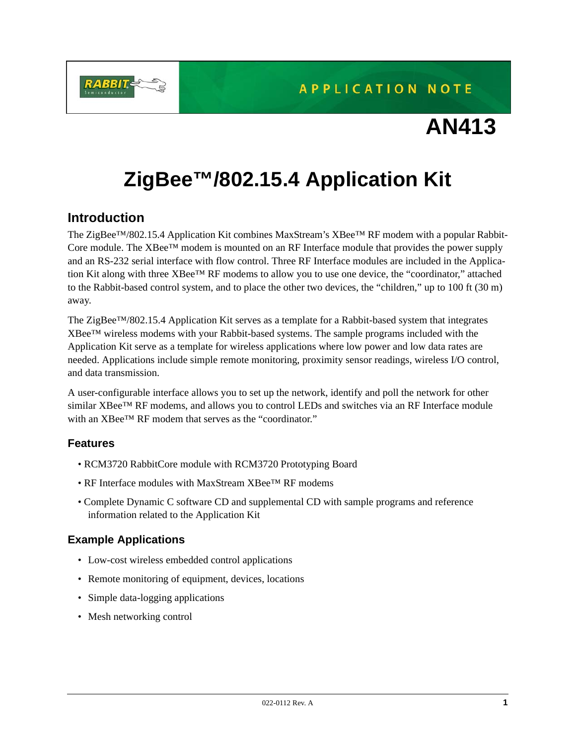

# **AN413**

# **ZigBee™/802.15.4 Application Kit**

# **Introduction**

The ZigBee™/802.15.4 Application Kit combines MaxStream's XBee™ RF modem with a popular Rabbit-Core module. The XBee™ modem is mounted on an RF Interface module that provides the power supply and an RS-232 serial interface with flow control. Three RF Interface modules are included in the Application Kit along with three XBee™ RF modems to allow you to use one device, the "coordinator," attached to the Rabbit-based control system, and to place the other two devices, the "children," up to 100 ft (30 m) away.

The ZigBee™/802.15.4 Application Kit serves as a template for a Rabbit-based system that integrates XBee™ wireless modems with your Rabbit-based systems. The sample programs included with the Application Kit serve as a template for wireless applications where low power and low data rates are needed. Applications include simple remote monitoring, proximity sensor readings, wireless I/O control, and data transmission.

A user-configurable interface allows you to set up the network, identify and poll the network for other similar XBee™ RF modems, and allows you to control LEDs and switches via an RF Interface module with an XBee™ RF modem that serves as the "coordinator."

# **Features**

- RCM3720 RabbitCore module with RCM3720 Prototyping Board
- RF Interface modules with MaxStream XBee™ RF modems
- Complete Dynamic C software CD and supplemental CD with sample programs and reference information related to the Application Kit

# **Example Applications**

- Low-cost wireless embedded control applications
- Remote monitoring of equipment, devices, locations
- Simple data-logging applications
- Mesh networking control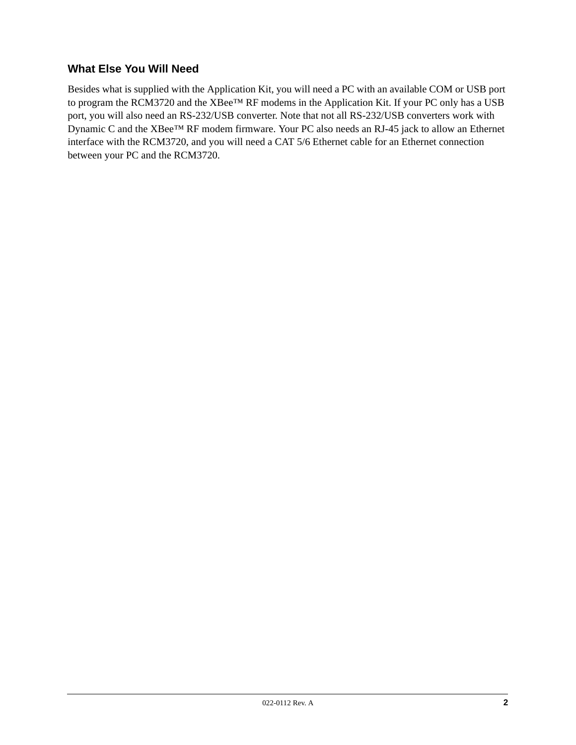# **What Else You Will Need**

Besides what is supplied with the Application Kit, you will need a PC with an available COM or USB port to program the RCM3720 and the XBee™ RF modems in the Application Kit. If your PC only has a USB port, you will also need an RS-232/USB converter. Note that not all RS-232/USB converters work with Dynamic C and the XBee™ RF modem firmware. Your PC also needs an RJ-45 jack to allow an Ethernet interface with the RCM3720, and you will need a CAT 5/6 Ethernet cable for an Ethernet connection between your PC and the RCM3720.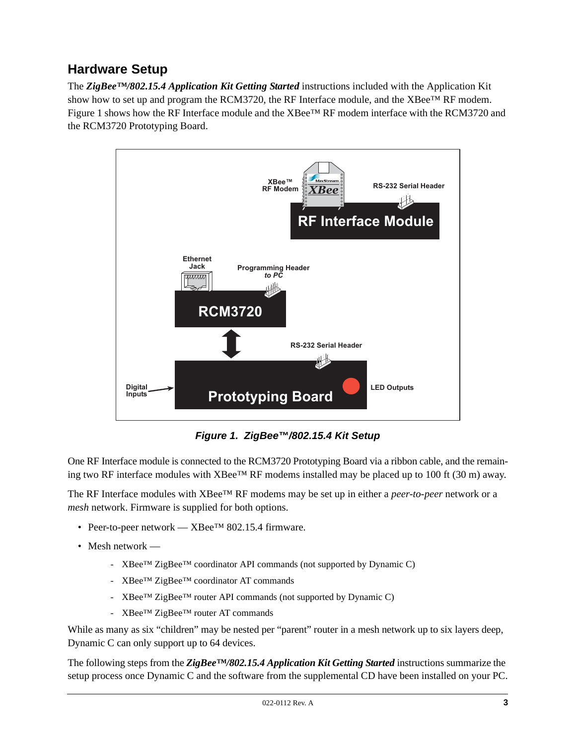# **Hardware Setup**

The *ZigBee™/802.15.4 Application Kit Getting Started* instructions included with the Application Kit show how to set up and program the RCM3720, the RF Interface module, and the XBee™ RF modem. [Figure 1](#page-2-0) shows how the RF Interface module and the XBee™ RF modem interface with the RCM3720 and the RCM3720 Prototyping Board.



*Figure 1. ZigBee™/802.15.4 Kit Setup*

<span id="page-2-0"></span>One RF Interface module is connected to the RCM3720 Prototyping Board via a ribbon cable, and the remaining two RF interface modules with XBee<sup>™</sup> RF modems installed may be placed up to 100 ft (30 m) away.

The RF Interface modules with XBee™ RF modems may be set up in either a *peer-to-peer* network or a *mesh* network. Firmware is supplied for both options.

- Peer-to-peer network XBee<sup>TM</sup> 802.15.4 firmware.
- Mesh network
	- XBee™ ZigBee™ coordinator API commands (not supported by Dynamic C)
	- XBee™ ZigBee™ coordinator AT commands
	- XBee™ ZigBee™ router API commands (not supported by Dynamic C)
	- XBee™ ZigBee™ router AT commands

While as many as six "children" may be nested per "parent" router in a mesh network up to six layers deep, Dynamic C can only support up to 64 devices.

The following steps from the *ZigBee™/802.15.4 Application Kit Getting Started* instructions summarize the setup process once Dynamic C and the software from the supplemental CD have been installed on your PC.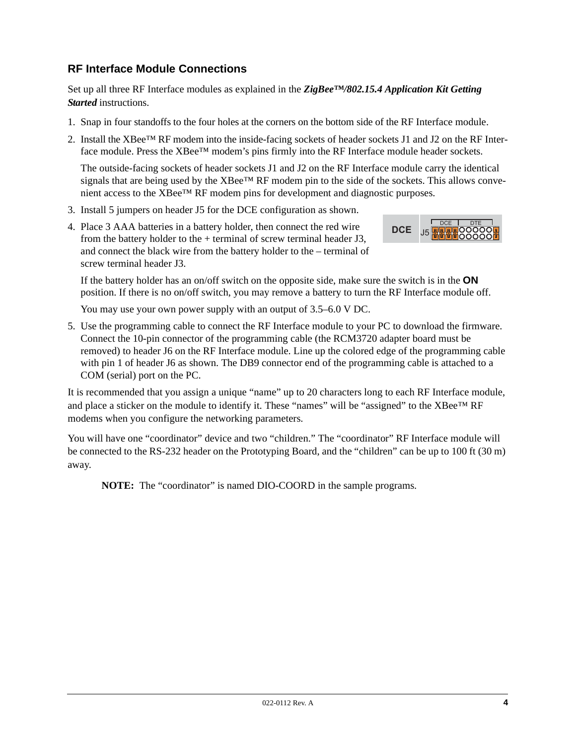# **RF Interface Module Connections**

Set up all three RF Interface modules as explained in the *ZigBee™/802.15.4 Application Kit Getting Started* instructions.

- 1. Snap in four standoffs to the four holes at the corners on the bottom side of the RF Interface module.
- 2. Install the XBee™ RF modem into the inside-facing sockets of header sockets J1 and J2 on the RF Interface module. Press the XBee™ modem's pins firmly into the RF Interface module header sockets.

The outside-facing sockets of header sockets J1 and J2 on the RF Interface module carry the identical signals that are being used by the  $XBee^{TM}$  RF modem pin to the side of the sockets. This allows convenient access to the XBee™ RF modem pins for development and diagnostic purposes.

- 3. Install 5 jumpers on header J5 for the DCE configuration as shown.
- 4. Place 3 AAA batteries in a battery holder, then connect the red wire from the battery holder to the  $+$  terminal of screw terminal header J3, and connect the black wire from the battery holder to the – terminal of screw terminal header J3.



If the battery holder has an on/off switch on the opposite side, make sure the switch is in the **ON** position. If there is no on/off switch, you may remove a battery to turn the RF Interface module off.

You may use your own power supply with an output of 3.5–6.0 V DC.

5. Use the programming cable to connect the RF Interface module to your PC to download the firmware. Connect the 10-pin connector of the programming cable (the RCM3720 adapter board must be removed) to header J6 on the RF Interface module. Line up the colored edge of the programming cable with pin 1 of header J6 as shown. The DB9 connector end of the programming cable is attached to a COM (serial) port on the PC.

It is recommended that you assign a unique "name" up to 20 characters long to each RF Interface module, and place a sticker on the module to identify it. These "names" will be "assigned" to the  $XBee^{TM}RF$ modems when you configure the networking parameters.

You will have one "coordinator" device and two "children." The "coordinator" RF Interface module will be connected to the RS-232 header on the Prototyping Board, and the "children" can be up to 100 ft (30 m) away.

**NOTE:** The "coordinator" is named DIO-COORD in the sample programs.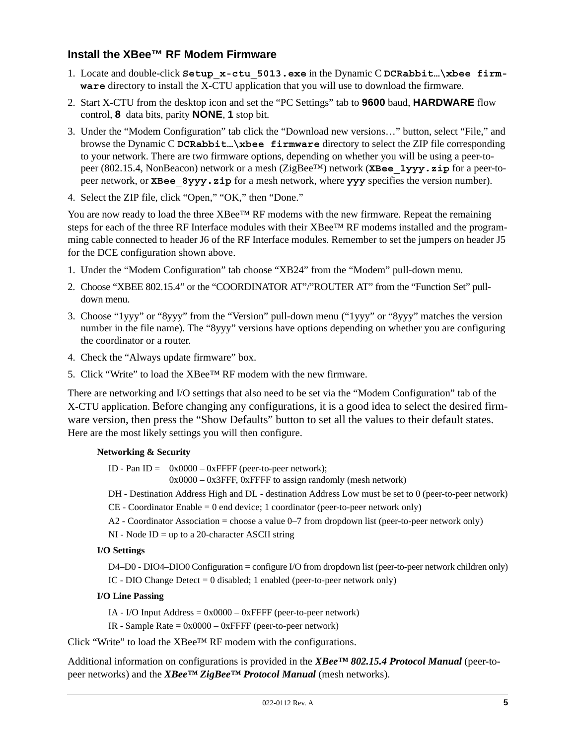# **Install the XBee™ RF Modem Firmware**

- 1. Locate and double-click **Setup\_x-ctu\_5013.exe** in the Dynamic C **DCRabbit…\xbee firmware** directory to install the X-CTU application that you will use to download the firmware.
- 2. Start X-CTU from the desktop icon and set the "PC Settings" tab to **9600** baud, **HARDWARE** flow control, **8** data bits, parity **NONE**, **1** stop bit.
- 3. Under the "Modem Configuration" tab click the "Download new versions…" button, select "File," and browse the Dynamic C **DCRabbit…\xbee firmware** directory to select the ZIP file corresponding to your network. There are two firmware options, depending on whether you will be using a peer-topeer (802.15.4, NonBeacon) network or a mesh (ZigBee™) network (**XBee\_1yyy.zip** for a peer-topeer network, or **XBee** 8yyy.zip for a mesh network, where yyy specifies the version number).
- 4. Select the ZIP file, click "Open," "OK," then "Done."

You are now ready to load the three  $XBee^{TM}$  RF modems with the new firmware. Repeat the remaining steps for each of the three RF Interface modules with their XBee™ RF modems installed and the programming cable connected to header J6 of the RF Interface modules. Remember to set the jumpers on header J5 for the DCE configuration shown above.

- 1. Under the "Modem Configuration" tab choose "XB24" from the "Modem" pull-down menu.
- 2. Choose "XBEE 802.15.4" or the "COORDINATOR AT"/"ROUTER AT" from the "Function Set" pulldown menu.
- 3. Choose "1yyy" or "8yyy" from the "Version" pull-down menu ("1yyy" or "8yyy" matches the version number in the file name). The "8yyy" versions have options depending on whether you are configuring the coordinator or a router.
- 4. Check the "Always update firmware" box.
- 5. Click "Write" to load the XBee™ RF modem with the new firmware.

There are networking and I/O settings that also need to be set via the "Modem Configuration" tab of the X-CTU application. Before changing any configurations, it is a good idea to select the desired firmware version, then press the "Show Defaults" button to set all the values to their default states. Here are the most likely settings you will then configure.

#### **Networking & Security**

ID - Pan ID =  $0x0000 - 0x$ FFFF (peer-to-peer network);

0x0000 – 0x3FFF, 0xFFFF to assign randomly (mesh network)

- DH Destination Address High and DL destination Address Low must be set to 0 (peer-to-peer network)
- CE Coordinator Enable = 0 end device; 1 coordinator (peer-to-peer network only)
- A2 Coordinator Association = choose a value 0–7 from dropdown list (peer-to-peer network only)
- $NI Node ID = up to a 20-character ASCII string$

#### **I/O Settings**

D4–D0 - DIO4–DIO0 Configuration = configure I/O from dropdown list (peer-to-peer network children only) IC - DIO Change Detect  $= 0$  disabled; 1 enabled (peer-to-peer network only)

#### **I/O Line Passing**

IA - I/O Input Address  $= 0x0000 - 0x$ FFFF (peer-to-peer network)

IR - Sample Rate = 0x0000 – 0xFFFF (peer-to-peer network)

Click "Write" to load the XBee™ RF modem with the configurations.

Additional information on configurations is provided in the *XBee™ 802.15.4 Protocol Manual* (peer-topeer networks) and the *XBee™ ZigBee™ Protocol Manual* (mesh networks).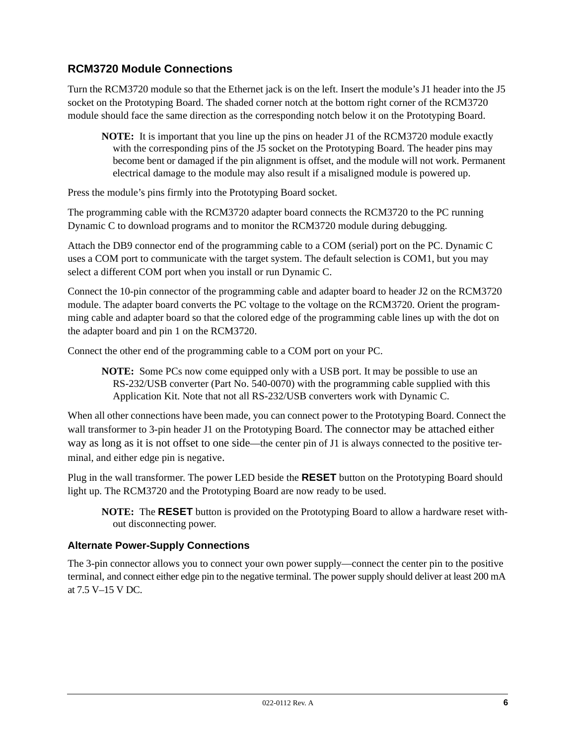# **RCM3720 Module Connections**

Turn the RCM3720 module so that the Ethernet jack is on the left. Insert the module's J1 header into the J5 socket on the Prototyping Board. The shaded corner notch at the bottom right corner of the RCM3720 module should face the same direction as the corresponding notch below it on the Prototyping Board.

**NOTE:** It is important that you line up the pins on header J1 of the RCM3720 module exactly with the corresponding pins of the J5 socket on the Prototyping Board. The header pins may become bent or damaged if the pin alignment is offset, and the module will not work. Permanent electrical damage to the module may also result if a misaligned module is powered up.

Press the module's pins firmly into the Prototyping Board socket.

The programming cable with the RCM3720 adapter board connects the RCM3720 to the PC running Dynamic C to download programs and to monitor the RCM3720 module during debugging.

Attach the DB9 connector end of the programming cable to a COM (serial) port on the PC. Dynamic C uses a COM port to communicate with the target system. The default selection is COM1, but you may select a different COM port when you install or run Dynamic C.

Connect the 10-pin connector of the programming cable and adapter board to header J2 on the RCM3720 module. The adapter board converts the PC voltage to the voltage on the RCM3720. Orient the programming cable and adapter board so that the colored edge of the programming cable lines up with the dot on the adapter board and pin 1 on the RCM3720.

Connect the other end of the programming cable to a COM port on your PC.

**NOTE:** Some PCs now come equipped only with a USB port. It may be possible to use an RS-232/USB converter (Part No. 540-0070) with the programming cable supplied with this Application Kit. Note that not all RS-232/USB converters work with Dynamic C.

When all other connections have been made, you can connect power to the Prototyping Board. Connect the wall transformer to 3-pin header J1 on the Prototyping Board. The connector may be attached either way as long as it is not offset to one side—the center pin of J1 is always connected to the positive terminal, and either edge pin is negative.

Plug in the wall transformer. The power LED beside the **RESET** button on the Prototyping Board should light up. The RCM3720 and the Prototyping Board are now ready to be used.

**NOTE:** The **RESET** button is provided on the Prototyping Board to allow a hardware reset without disconnecting power.

# **Alternate Power-Supply Connections**

The 3-pin connector allows you to connect your own power supply—connect the center pin to the positive terminal, and connect either edge pin to the negative terminal. The power supply should deliver at least 200 mA at 7.5 V–15 V DC.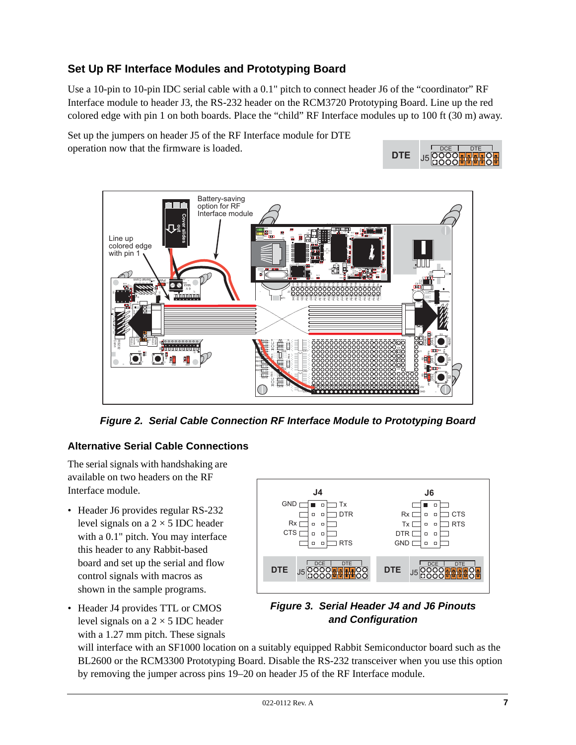# **Set Up RF Interface Modules and Prototyping Board**

Use a 10-pin to 10-pin IDC serial cable with a 0.1" pitch to connect header J6 of the "coordinator" RF Interface module to header J3, the RS-232 header on the RCM3720 Prototyping Board. Line up the red colored edge with pin 1 on both boards. Place the "child" RF Interface modules up to 100 ft (30 m) away.

Set up the jumpers on header J5 of the RF Interface module for DTE operation now that the firmware is loaded.





*Figure 2. Serial Cable Connection RF Interface Module to Prototyping Board*

# **Alternative Serial Cable Connections**

The serial signals with handshaking are available on two headers on the RF Interface module.

- Header J6 provides regular RS-232 level signals on a  $2 \times 5$  IDC header with a 0.1" pitch. You may interface this header to any Rabbit-based board and set up the serial and flow control signals with macros as shown in the sample programs.
- Header J4 provides TTL or CMOS level signals on a  $2 \times 5$  IDC header with a 1.27 mm pitch. These signals



# *Figure 3. Serial Header J4 and J6 Pinouts and Configuration*

will interface with an SF1000 location on a suitably equipped Rabbit Semiconductor board such as the BL2600 or the RCM3300 Prototyping Board. Disable the RS-232 transceiver when you use this option by removing the jumper across pins 19–20 on header J5 of the RF Interface module.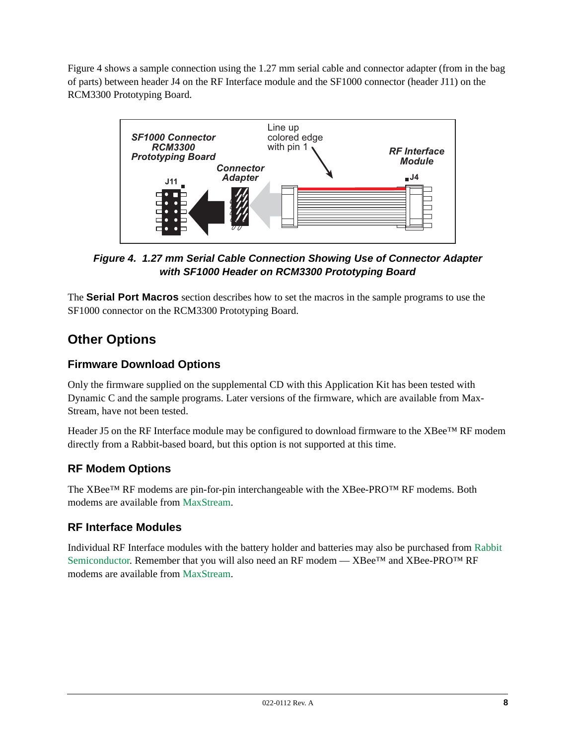[Figure 4](#page-7-0) shows a sample connection using the 1.27 mm serial cable and connector adapter (from in the bag of parts) between header J4 on the RF Interface module and the SF1000 connector (header J11) on the RCM3300 Prototyping Board.



<span id="page-7-0"></span>*Figure 4. 1.27 mm Serial Cable Connection Showing Use of Connector Adapter with SF1000 Header on RCM3300 Prototyping Board*

The **[Serial Port Macros](#page-13-0)** section describes how to set the macros in the sample programs to use the SF1000 connector on the RCM3300 Prototyping Board.

# **Other Options**

# **Firmware Download Options**

Only the firmware supplied on the supplemental CD with this Application Kit has been tested with Dynamic C and the sample programs. Later versions of the firmware, which are available from Max-Stream, have not been tested.

Header J5 on the RF Interface module may be configured to download firmware to the XBee™ RF modem directly from a Rabbit-based board, but this option is not supported at this time.

# **RF Modem Options**

The XBee™ RF modems are pin-for-pin interchangeable with the XBee-PRO™ RF modems. Both modems are available from [MaxStream](http://www.maxtream.net/).

# **RF Interface Modules**

Individual RF Interface modules with the battery holder and batteries may also be purchased from [Rabbit](http://www.rabbit.com/)  [Semiconductor.](http://www.rabbit.com/) Remember that you will also need an RF modem —  $XBee^{TM}$  and  $XBee-PRO^{TM}$  RF modems are available from [MaxStream](http://www.maxtream.net/).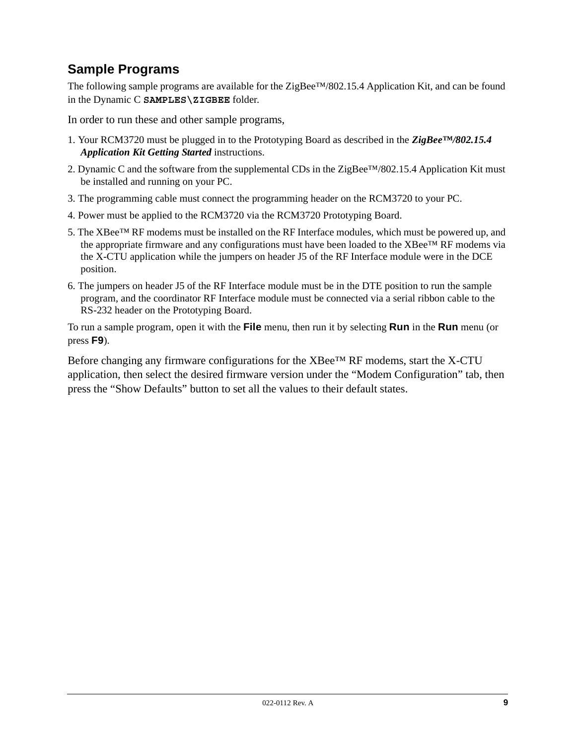# **Sample Programs**

The following sample programs are available for the ZigBee™/802.15.4 Application Kit, and can be found in the Dynamic C **SAMPLES\ZIGBEE** folder.

In order to run these and other sample programs,

- 1. Your RCM3720 must be plugged in to the Prototyping Board as described in the *ZigBee™/802.15.4 Application Kit Getting Started* instructions.
- 2. Dynamic C and the software from the supplemental CDs in the ZigBee™/802.15.4 Application Kit must be installed and running on your PC.
- 3. The programming cable must connect the programming header on the RCM3720 to your PC.
- 4. Power must be applied to the RCM3720 via the RCM3720 Prototyping Board.
- 5. The XBee™ RF modems must be installed on the RF Interface modules, which must be powered up, and the appropriate firmware and any configurations must have been loaded to the XBee™ RF modems via the X-CTU application while the jumpers on header J5 of the RF Interface module were in the DCE position.
- 6. The jumpers on header J5 of the RF Interface module must be in the DTE position to run the sample program, and the coordinator RF Interface module must be connected via a serial ribbon cable to the RS-232 header on the Prototyping Board.

To run a sample program, open it with the **File** menu, then run it by selecting **Run** in the **Run** menu (or press **F9**).

Before changing any firmware configurations for the XBee<sup>TM</sup> RF modems, start the X-CTU application, then select the desired firmware version under the "Modem Configuration" tab, then press the "Show Defaults" button to set all the values to their default states.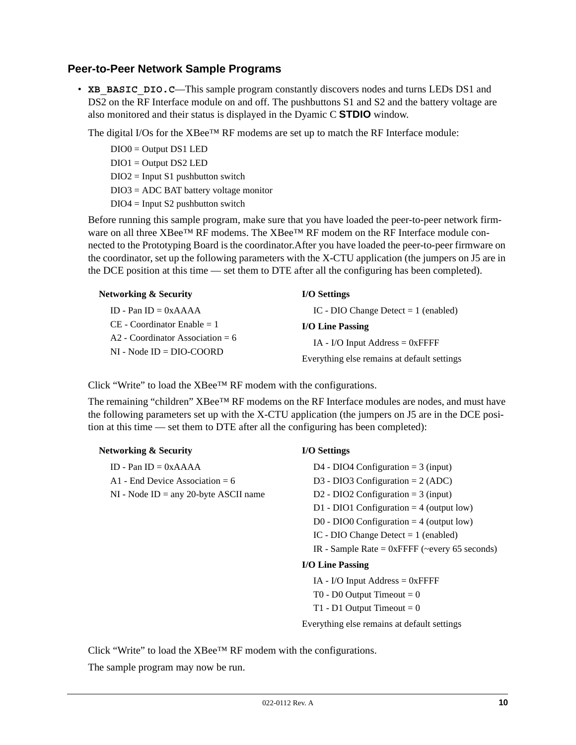# **Peer-to-Peer Network Sample Programs**

• **XB** BASIC DIO.C—This sample program constantly discovers nodes and turns LEDs DS1 and DS2 on the RF Interface module on and off. The pushbuttons S1 and S2 and the battery voltage are also monitored and their status is displayed in the Dyamic C **STDIO** window.

The digital I/Os for the  $XBee^{TM}$  RF modems are set up to match the RF Interface module:

DIO0 = Output DS1 LED DIO1 = Output DS2 LED  $DIO2 = Input S1$  pushbutton switch DIO3 = ADC BAT battery voltage monitor  $DIO4 = Input S2$  pushbutton switch

Before running this sample program, make sure that you have loaded the peer-to-peer network firmware on all three XBee™ RF modems. The XBee™ RF modem on the RF Interface module connected to the Prototyping Board is the coordinator.After you have loaded the peer-to-peer firmware on the coordinator, set up the following parameters with the X-CTU application (the jumpers on J5 are in the DCE position at this time — set them to DTE after all the configuring has been completed).

| <b>Networking &amp; Security</b>                                 | <b>I/O Settings</b>                         |
|------------------------------------------------------------------|---------------------------------------------|
| ID - Pan ID $= 0xAAAA$                                           | IC - DIO Change Detect $= 1$ (enabled)      |
| $CE$ - Coordinator Enable = 1                                    | <b>I/O Line Passing</b>                     |
| $A2$ - Coordinator Association = 6<br>$NI - Node ID = DIO-COORD$ | $IA$ - I/O Input Address = 0xFFFF           |
|                                                                  | Everything else remains at default settings |

Click "Write" to load the XBee™ RF modem with the configurations.

The remaining "children" XBee™ RF modems on the RF Interface modules are nodes, and must have the following parameters set up with the X-CTU application (the jumpers on J5 are in the DCE position at this time — set them to DTE after all the configuring has been completed):

| <b>Networking &amp; Security</b>           | <b>I/O Settings</b>                              |
|--------------------------------------------|--------------------------------------------------|
| ID - Pan ID = $0xAAA$                      | D4 - DIO4 Configuration = $3$ (input)            |
| A1 - End Device Association = 6            | D3 - DIO3 Configuration = $2 (ADC)$              |
| $NI$ - Node $ID = any 20$ -byte ASCII name | D2 - DIO2 Configuration = $3$ (input)            |
|                                            | D1 - DIO1 Configuration $=$ 4 (output low)       |
|                                            | D0 - DIO0 Configuration = $4$ (output low)       |
|                                            | IC - DIO Change Detect $= 1$ (enabled)           |
|                                            | IR - Sample Rate = $0x$ FFFF (~every 65 seconds) |
|                                            | I/O Line Passing                                 |
|                                            | $IA$ - I/O Input Address = 0xFFFF                |
|                                            | T0 - D0 Output Timeout $= 0$                     |

T1 - D1 Output Timeout  $= 0$ 

Everything else remains at default settings

Click "Write" to load the XBee™ RF modem with the configurations.

The sample program may now be run.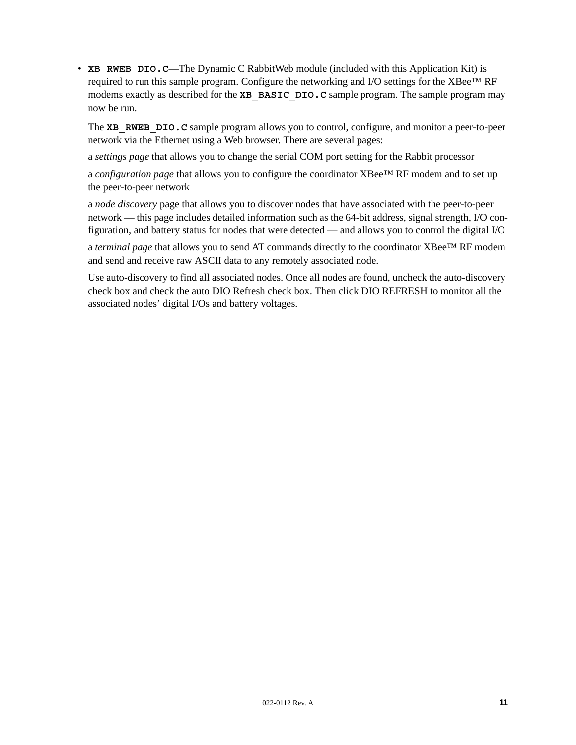• **XB** RWEB DIO.C—The Dynamic C RabbitWeb module (included with this Application Kit) is required to run this sample program. Configure the networking and I/O settings for the XBee™ RF modems exactly as described for the **XB** BASIC DIO.C sample program. The sample program may now be run.

The **XB** RWEB DIO. C sample program allows you to control, configure, and monitor a peer-to-peer network via the Ethernet using a Web browser. There are several pages:

a *settings page* that allows you to change the serial COM port setting for the Rabbit processor

a *configuration page* that allows you to configure the coordinator XBee™ RF modem and to set up the peer-to-peer network

a *node discovery* page that allows you to discover nodes that have associated with the peer-to-peer network — this page includes detailed information such as the 64-bit address, signal strength, I/O configuration, and battery status for nodes that were detected — and allows you to control the digital I/O

a *terminal page* that allows you to send AT commands directly to the coordinator XBee™ RF modem and send and receive raw ASCII data to any remotely associated node.

Use auto-discovery to find all associated nodes. Once all nodes are found, uncheck the auto-discovery check box and check the auto DIO Refresh check box. Then click DIO REFRESH to monitor all the associated nodes' digital I/Os and battery voltages.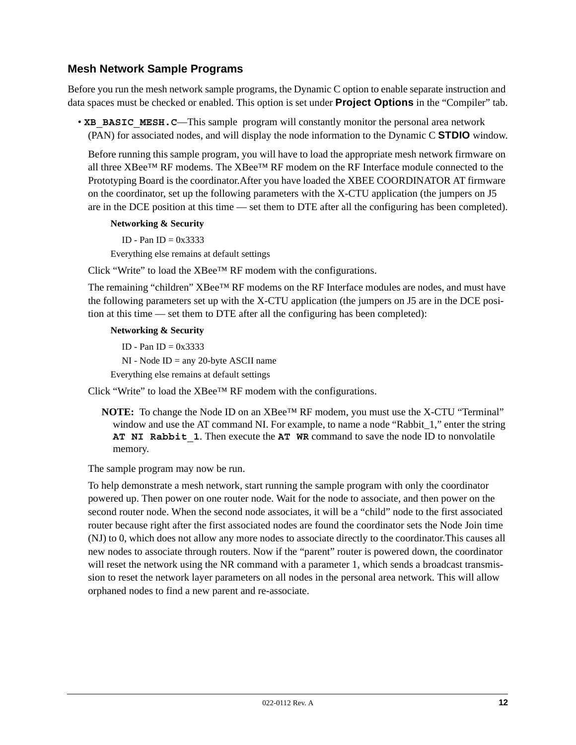# **Mesh Network Sample Programs**

Before you run the mesh network sample programs, the Dynamic C option to enable separate instruction and data spaces must be checked or enabled. This option is set under **Project Options** in the "Compiler" tab.

• **XB\_BASIC\_MESH. C—This sample program will constantly monitor the personal area network** (PAN) for associated nodes, and will display the node information to the Dynamic C **STDIO** window.

Before running this sample program, you will have to load the appropriate mesh network firmware on all three XBee<sup>™</sup> RF modems. The XBee™ RF modem on the RF Interface module connected to the Prototyping Board is the coordinator.After you have loaded the XBEE COORDINATOR AT firmware on the coordinator, set up the following parameters with the X-CTU application (the jumpers on J5 are in the DCE position at this time — set them to DTE after all the configuring has been completed).

### **Networking & Security**

ID - Pan ID  $= 0x3333$ 

Everything else remains at default settings

Click "Write" to load the XBee™ RF modem with the configurations.

The remaining "children" XBee™ RF modems on the RF Interface modules are nodes, and must have the following parameters set up with the X-CTU application (the jumpers on J5 are in the DCE position at this time — set them to DTE after all the configuring has been completed):

### **Networking & Security**

ID - Pan ID  $= 0x3333$ 

NI - Node ID = any 20-byte ASCII name

Everything else remains at default settings

Click "Write" to load the XBee™ RF modem with the configurations.

**NOTE:** To change the Node ID on an XBee™ RF modem, you must use the X-CTU "Terminal" window and use the AT command NI. For example, to name a node "Rabbit\_1," enter the string **AT NI Rabbit\_1**. Then execute the **AT WR** command to save the node ID to nonvolatile memory.

The sample program may now be run.

To help demonstrate a mesh network, start running the sample program with only the coordinator powered up. Then power on one router node. Wait for the node to associate, and then power on the second router node. When the second node associates, it will be a "child" node to the first associated router because right after the first associated nodes are found the coordinator sets the Node Join time (NJ) to 0, which does not allow any more nodes to associate directly to the coordinator.This causes all new nodes to associate through routers. Now if the "parent" router is powered down, the coordinator will reset the network using the NR command with a parameter 1, which sends a broadcast transmission to reset the network layer parameters on all nodes in the personal area network. This will allow orphaned nodes to find a new parent and re-associate.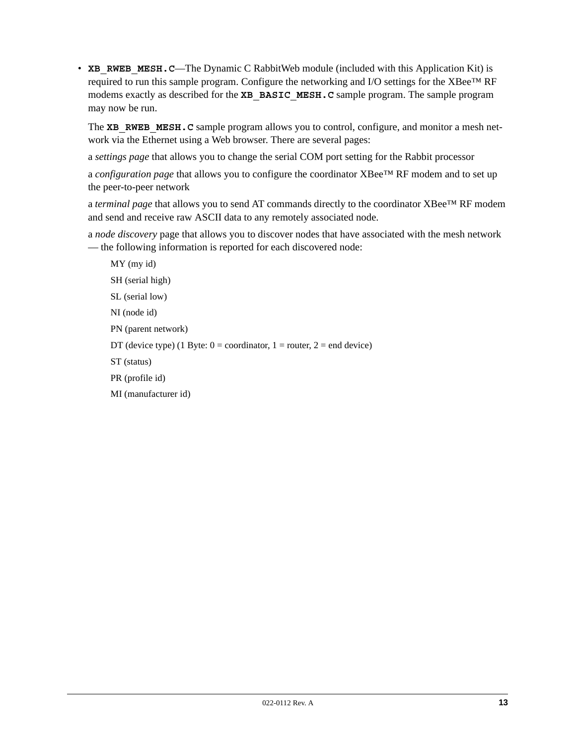• **XB** RWEB MESH.C—The Dynamic C RabbitWeb module (included with this Application Kit) is required to run this sample program. Configure the networking and I/O settings for the XBee™ RF modems exactly as described for the **XB\_BASIC\_MESH.C** sample program. The sample program may now be run.

The **XB** RWEB MESH. C sample program allows you to control, configure, and monitor a mesh network via the Ethernet using a Web browser. There are several pages:

a *settings page* that allows you to change the serial COM port setting for the Rabbit processor

a *configuration page* that allows you to configure the coordinator XBee™ RF modem and to set up the peer-to-peer network

a *terminal page* that allows you to send AT commands directly to the coordinator XBee™ RF modem and send and receive raw ASCII data to any remotely associated node.

a *node discovery* page that allows you to discover nodes that have associated with the mesh network — the following information is reported for each discovered node:

MY (my id) SH (serial high) SL (serial low) NI (node id) PN (parent network) DT (device type) (1 Byte:  $0 =$  coordinator,  $1 =$  router,  $2 =$  end device) ST (status) PR (profile id) MI (manufacturer id)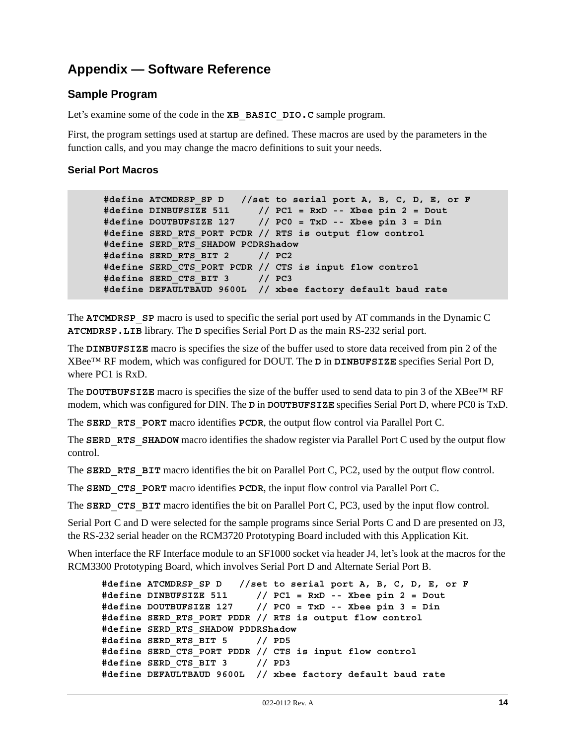# **Appendix — Software Reference**

# **Sample Program**

Let's examine some of the code in the **XB\_BASIC\_DIO.C** sample program.

First, the program settings used at startup are defined. These macros are used by the parameters in the function calls, and you may change the macro definitions to suit your needs.

# <span id="page-13-0"></span>**Serial Port Macros**

```
#define ATCMDRSP_SP D //set to serial port A, B, C, D, E, or F
#define DINBUFSIZE 511 // PC1 = RxD -- Xbee pin 2 = Dout
#define DOUTBUFSIZE 127 // PC0 = TxD -- Xbee pin 3 = Din
#define SERD_RTS_PORT PCDR // RTS is output flow control
#define SERD_RTS_SHADOW PCDRShadow
#define SERD_RTS_BIT 2 // PC2
#define SERD_CTS_PORT PCDR // CTS is input flow control
#define SERD_CTS_BIT 3 // PC3
#define DEFAULTBAUD 9600L // xbee factory default baud rate
```
The **ATCMDRSP** SP macro is used to specific the serial port used by AT commands in the Dynamic C **ATCMDRSP.LIB** library. The **D** specifies Serial Port D as the main RS-232 serial port.

The **DINBUFSIZE** macro is specifies the size of the buffer used to store data received from pin 2 of the XBee™ RF modem, which was configured for DOUT. The **D** in **DINBUFSIZE** specifies Serial Port D, where PC1 is RxD.

The **DOUTBUFSIZE** macro is specifies the size of the buffer used to send data to pin 3 of the XBee™ RF modem, which was configured for DIN. The **D** in **DOUTBUFSIZE** specifies Serial Port D, where PC0 is TxD.

The **SERD** RTS PORT macro identifies PCDR, the output flow control via Parallel Port C.

The **SERD** RTS SHADOW macro identifies the shadow register via Parallel Port C used by the output flow control.

The **SERD** RTS BIT macro identifies the bit on Parallel Port C, PC2, used by the output flow control.

The **SEND** CTS PORT macro identifies **PCDR**, the input flow control via Parallel Port C.

The **SERD** CTS BIT macro identifies the bit on Parallel Port C, PC3, used by the input flow control.

Serial Port C and D were selected for the sample programs since Serial Ports C and D are presented on J3, the RS-232 serial header on the RCM3720 Prototyping Board included with this Application Kit.

When interface the RF Interface module to an SF1000 socket via header J4, let's look at the macros for the RCM3300 Prototyping Board, which involves Serial Port D and Alternate Serial Port B.

```
#define ATCMDRSP_SP D //set to serial port A, B, C, D, E, or F
#define DINBUFSIZE 511 // PC1 = RxD -- Xbee pin 2 = Dout
#define DOUTBUFSIZE 127 // PC0 = TxD -- Xbee pin 3 = Din
#define SERD_RTS_PORT PDDR // RTS is output flow control
#define SERD_RTS_SHADOW PDDRShadow
#define SERD_RTS_BIT 5 // PD5
#define SERD_CTS_PORT PDDR // CTS is input flow control
#define SERD_CTS_BIT 3 // PD3
#define DEFAULTBAUD 9600L // xbee factory default baud rate
```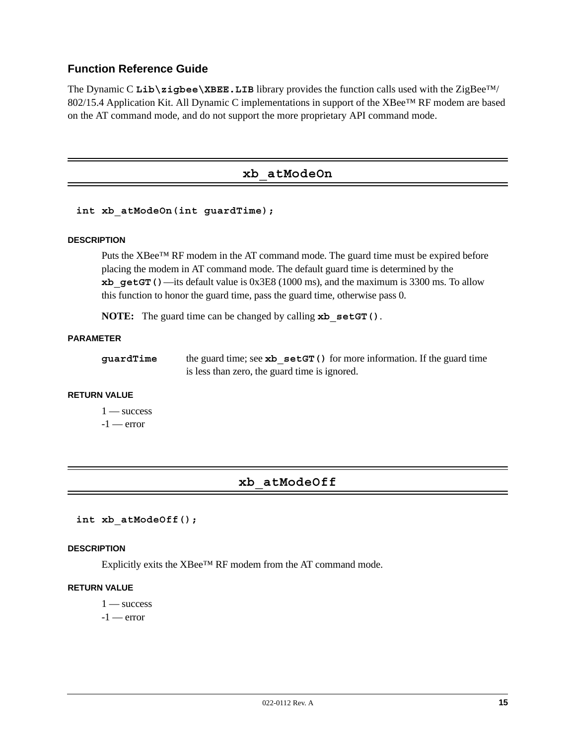# **Function Reference Guide**

The Dynamic C Lib**\zigbee\XBEE.LIB** library provides the function calls used with the ZigBee™/ 802/15.4 Application Kit. All Dynamic C implementations in support of the XBee™ RF modem are based on the AT command mode, and do not support the more proprietary API command mode.

# **xb\_atModeOn**

**int xb\_atModeOn(int guardTime);**

#### **DESCRIPTION**

Puts the XBee™ RF modem in the AT command mode. The guard time must be expired before placing the modem in AT command mode. The default guard time is determined by the **xb** qetGT()—its default value is 0x3E8 (1000 ms), and the maximum is 3300 ms. To allow this function to honor the guard time, pass the guard time, otherwise pass 0.

**NOTE:** The guard time can be changed by calling **xb\_setGT()**.

#### **PARAMETER**

| guardTime | the guard time; see $\mathbf{xb}$ set GT () for more information. If the guard time |
|-----------|-------------------------------------------------------------------------------------|
|           | is less than zero, the guard time is ignored.                                       |

#### **RETURN VALUE**

1 — success  $-1$  — error

# **xb\_atModeOff**

**int xb\_atModeOff();**

#### **DESCRIPTION**

Explicitly exits the XBee™ RF modem from the AT command mode.

#### **RETURN VALUE**

 $1 -$ success

 $-1$  — error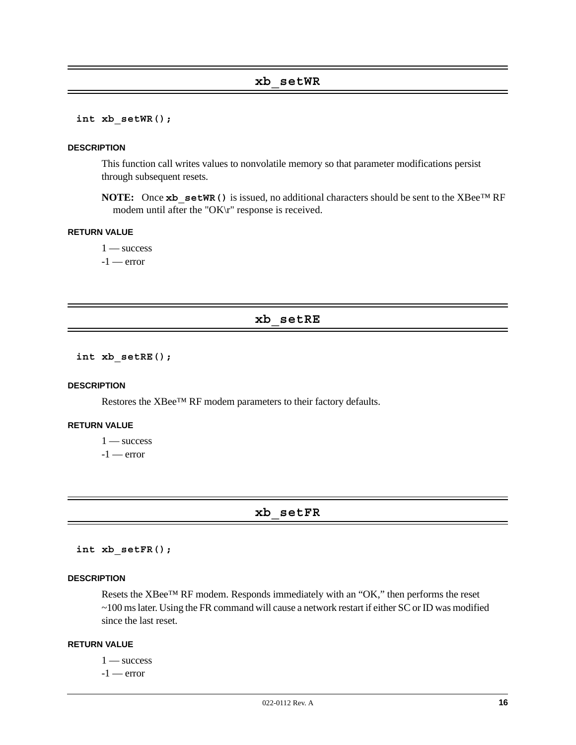**int xb\_setWR();**

#### **DESCRIPTION**

This function call writes values to nonvolatile memory so that parameter modifications persist through subsequent resets.

**NOTE:** Once **xb** setWR() is issued, no additional characters should be sent to the XBee™ RF modem until after the "OK\r" response is received.

### **RETURN VALUE**

 $1 -$  success  $-1$  — error

#### **xb\_setRE**

**int xb\_setRE();**

#### **DESCRIPTION**

Restores the XBee™ RF modem parameters to their factory defaults.

### **RETURN VALUE**

 $1 -$  success

 $-1$  — error

# **xb\_setFR**

**int xb\_setFR();**

#### **DESCRIPTION**

Resets the XBee™ RF modem. Responds immediately with an "OK," then performs the reset ~100 ms later. Using the FR command will cause a network restart if either SC or ID was modified since the last reset.

#### **RETURN VALUE**

 $1 -$ success

 $-1$  — error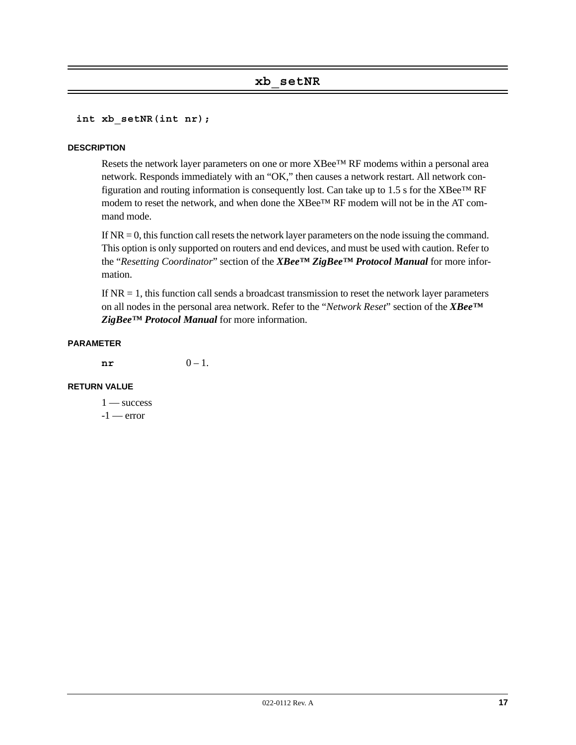# **xb\_setNR**

**int xb\_setNR(int nr);**

#### **DESCRIPTION**

Resets the network layer parameters on one or more XBee™ RF modems within a personal area network. Responds immediately with an "OK," then causes a network restart. All network configuration and routing information is consequently lost. Can take up to 1.5 s for the XBee<sup>™</sup> RF modem to reset the network, and when done the  $XBee^{TM}RF$  modem will not be in the AT command mode.

If  $NR = 0$ , this function call resets the network layer parameters on the node issuing the command. This option is only supported on routers and end devices, and must be used with caution. Refer to the "*Resetting Coordinator*" section of the *XBee™ ZigBee™ Protocol Manual* for more information.

If  $NR = 1$ , this function call sends a broadcast transmission to reset the network layer parameters on all nodes in the personal area network. Refer to the "*Network Reset*" section of the *XBee™ ZigBee™ Protocol Manual* for more information.

#### **PARAMETER**

 $n \mathbf{r}$  0 – 1.

#### **RETURN VALUE**

 $1 -$  success  $-1$  — error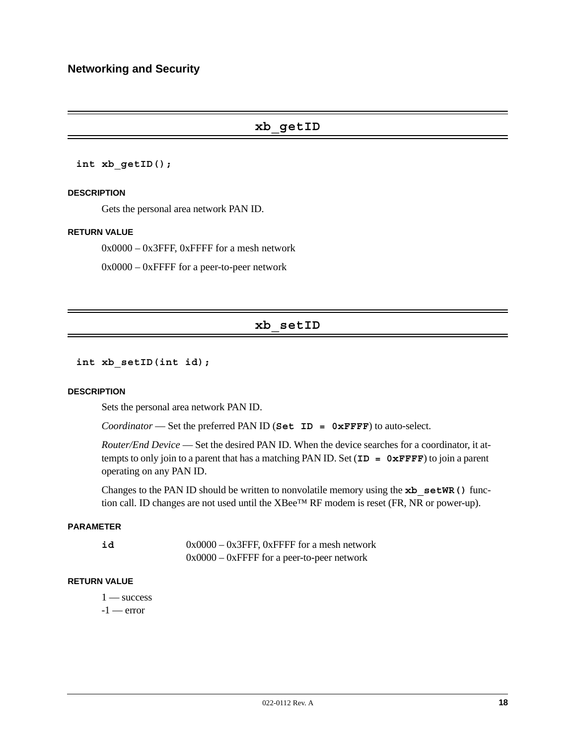# **xb\_getID**

#### **int xb\_getID();**

#### **DESCRIPTION**

Gets the personal area network PAN ID.

#### **RETURN VALUE**

 $0x0000 - 0x3$  FFF, 0xFFFF for a mesh network

 $0x0000 - 0x$  FFFF for a peer-to-peer network

# **xb\_setID**

**int xb\_setID(int id);**

#### **DESCRIPTION**

Sets the personal area network PAN ID.

*Coordinator* — Set the preferred PAN ID (**Set ID = 0xFFFF**) to auto-select.

*Router/End Device* — Set the desired PAN ID. When the device searches for a coordinator, it attempts to only join to a parent that has a matching PAN ID. Set (**ID = 0xFFFF**) to join a parent operating on any PAN ID.

Changes to the PAN ID should be written to nonvolatile memory using the **xb** setWR() function call. ID changes are not used until the XBee™ RF modem is reset (FR, NR or power-up).

#### **PARAMETER**

**id** 0x0000 – 0x3FFF, 0xFFFF for a mesh network 0x0000 – 0xFFFF for a peer-to-peer network

### **RETURN VALUE**

 $1 -$ success  $-1$  — error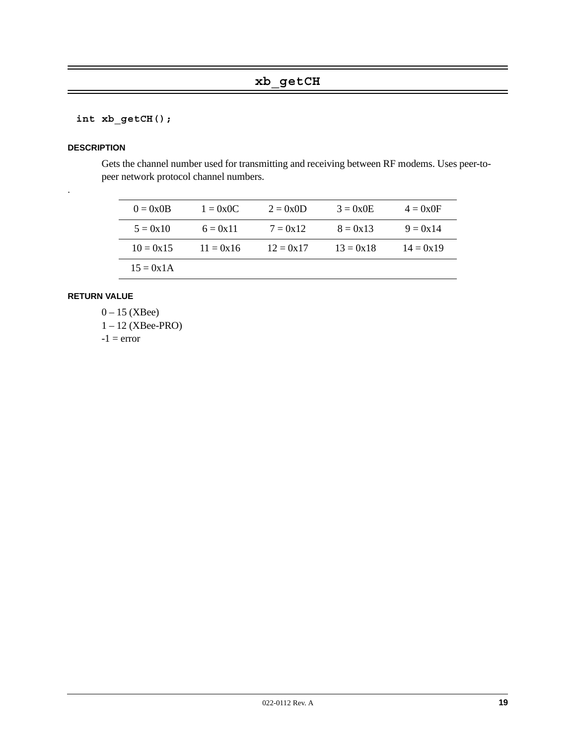# **int xb\_getCH();**

#### **DESCRIPTION**

.

Gets the channel number used for transmitting and receiving between RF modems. Uses peer-topeer network protocol channel numbers.

| $0 = 0 \times 0B$ | $1 = 0x0C$  | $2 = 0x0D$  | $3 = 0x0E$  | $4 = 0x0F$  |
|-------------------|-------------|-------------|-------------|-------------|
| $5 = 0x10$        | $6 = 0x11$  | $7 = 0x12$  | $8 = 0x13$  | $9 = 0x14$  |
| $10 = 0x15$       | $11 = 0x16$ | $12 = 0x17$ | $13 = 0x18$ | $14 = 0x19$ |
| $15 = 0x1A$       |             |             |             |             |

# **RETURN VALUE**

 $0 - 15$  (XBee) 1 – 12 (XBee-PRO)  $-1$  = error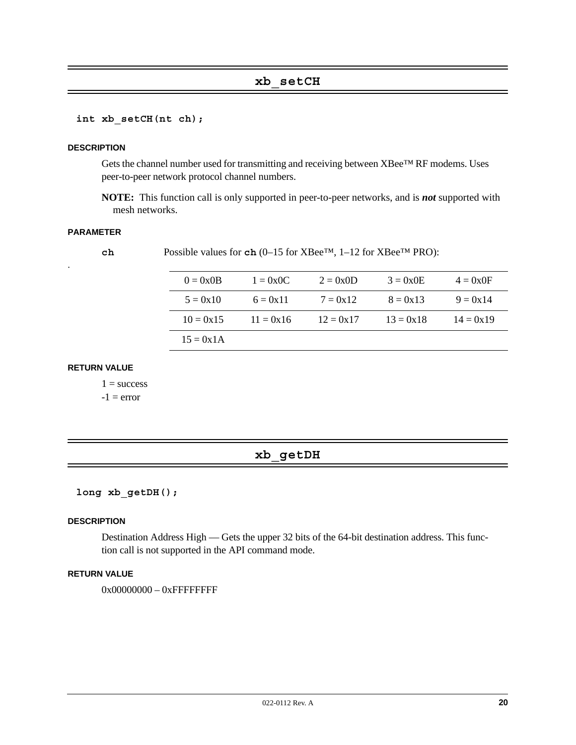# **xb\_setCH**

**int xb\_setCH(nt ch);**

#### **DESCRIPTION**

Gets the channel number used for transmitting and receiving between XBee™ RF modems. Uses peer-to-peer network protocol channel numbers.

**NOTE:** This function call is only supported in peer-to-peer networks, and is *not* supported with mesh networks.

#### **PARAMETER**

.

**ch** Possible values for **ch** (0–15 for XBee™, 1–12 for XBee™ PRO):

| $0 = 0 \times 0B$ | $1 = 0x0C$  | $2 = 0x0D$  | $3 = 0x0E$  | $4 = 0x0F$  |
|-------------------|-------------|-------------|-------------|-------------|
| $5 = 0x10$        | $6 = 0x11$  | $7 = 0x12$  | $8 = 0x13$  | $9 = 0x14$  |
| $10 = 0x15$       | $11 = 0x16$ | $12 = 0x17$ | $13 = 0x18$ | $14 = 0x19$ |
| $15 = 0x1A$       |             |             |             |             |

#### **RETURN VALUE**

 $1 =$  success

 $-1$  = error

# **xb\_getDH**

**long xb\_getDH();**

#### **DESCRIPTION**

Destination Address High — Gets the upper 32 bits of the 64-bit destination address. This function call is not supported in the API command mode.

#### **RETURN VALUE**

0x00000000 - 0xFFFFFFFFF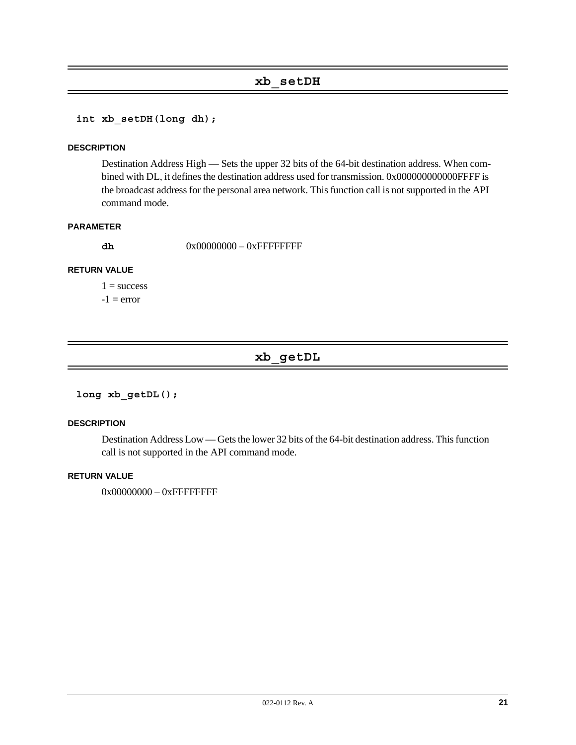# **xb\_setDH**

**int xb\_setDH(long dh);**

#### **DESCRIPTION**

Destination Address High — Sets the upper 32 bits of the 64-bit destination address. When combined with DL, it defines the destination address used for transmission. 0x000000000000FFFF is the broadcast address for the personal area network. This function call is not supported in the API command mode.

#### **PARAMETER**

**dh** 0x00000000 – 0xFFFFFFFF

#### **RETURN VALUE**

 $1 =$  success  $-1$  = error

# **xb\_getDL**

**long xb\_getDL();**

#### **DESCRIPTION**

Destination Address Low — Gets the lower 32 bits of the 64-bit destination address. This function call is not supported in the API command mode.

#### **RETURN VALUE**

0x00000000 - 0xFFFFFFFFF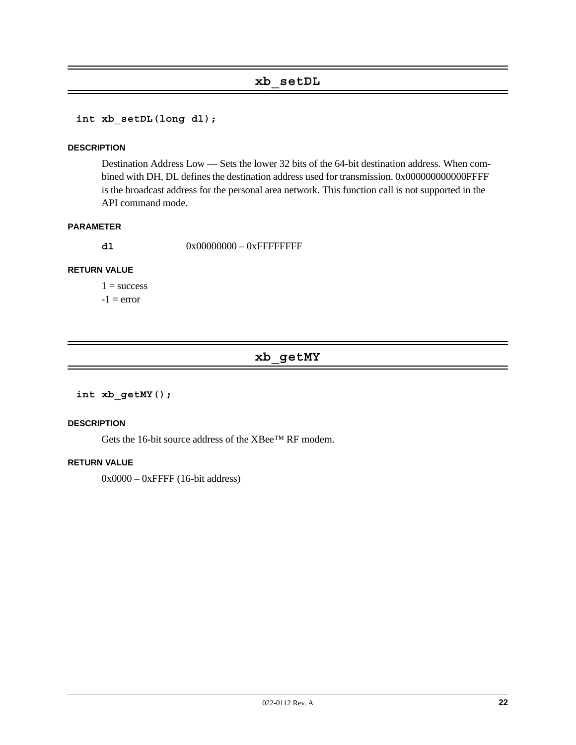# **xb\_setDL**

**int xb\_setDL(long dl);**

#### **DESCRIPTION**

Destination Address Low — Sets the lower 32 bits of the 64-bit destination address. When combined with DH, DL defines the destination address used for transmission. 0x000000000000FFFF is the broadcast address for the personal area network. This function call is not supported in the API command mode.

#### **PARAMETER**

**d1** 0x00000000 – 0xFFFFFFFF

### **RETURN VALUE**

 $1 =$  success  $-1$  = error

# **xb\_getMY**

#### **int xb\_getMY();**

## **DESCRIPTION**

Gets the 16-bit source address of the XBee™ RF modem.

#### **RETURN VALUE**

0x0000 – 0xFFFF (16-bit address)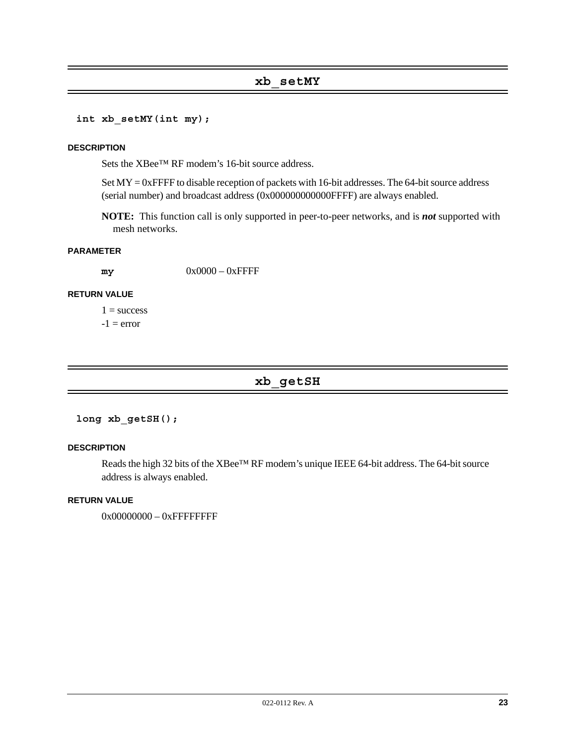# **xb\_setMY**

**int xb\_setMY(int my);**

#### **DESCRIPTION**

Sets the XBee™ RF modem's 16-bit source address.

Set MY = 0xFFFF to disable reception of packets with 16-bit addresses. The 64-bit source address (serial number) and broadcast address (0x000000000000FFFF) are always enabled.

**NOTE:** This function call is only supported in peer-to-peer networks, and is *not* supported with mesh networks.

#### **PARAMETER**

**my** 0x0000 – 0xFFFF

#### **RETURN VALUE**

 $1 =$  success  $-1$  = error

# **xb\_getSH**

#### **long xb\_getSH();**

#### **DESCRIPTION**

Reads the high 32 bits of the XBee™ RF modem's unique IEEE 64-bit address. The 64-bit source address is always enabled.

#### **RETURN VALUE**

0x00000000 – 0xFFFFFFFFF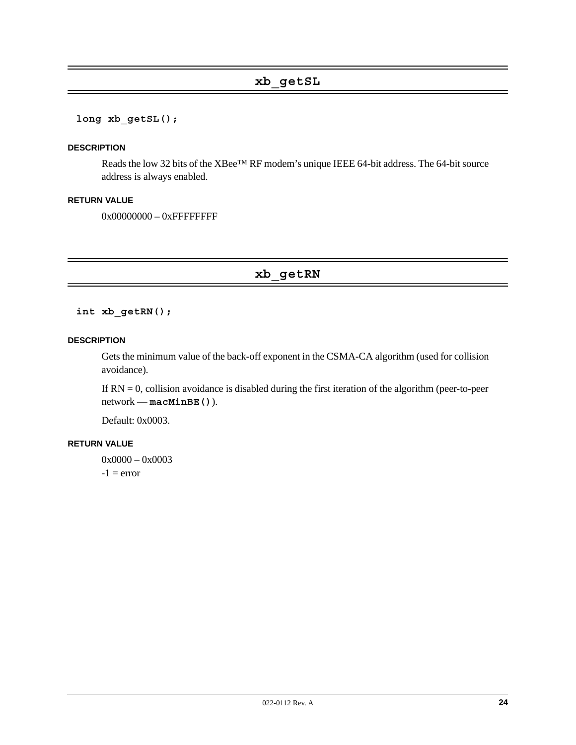# **xb\_getSL**

#### **long xb\_getSL();**

#### **DESCRIPTION**

Reads the low 32 bits of the XBee™ RF modem's unique IEEE 64-bit address. The 64-bit source address is always enabled.

#### **RETURN VALUE**

0x00000000 - 0xFFFFFFFFF

**xb\_getRN**

## **int xb\_getRN();**

#### **DESCRIPTION**

Gets the minimum value of the back-off exponent in the CSMA-CA algorithm (used for collision avoidance).

If  $RN = 0$ , collision avoidance is disabled during the first iteration of the algorithm (peer-to-peer network — **macMinBE()**).

Default: 0x0003.

#### **RETURN VALUE**

0x0000 - 0x0003  $-1$  = error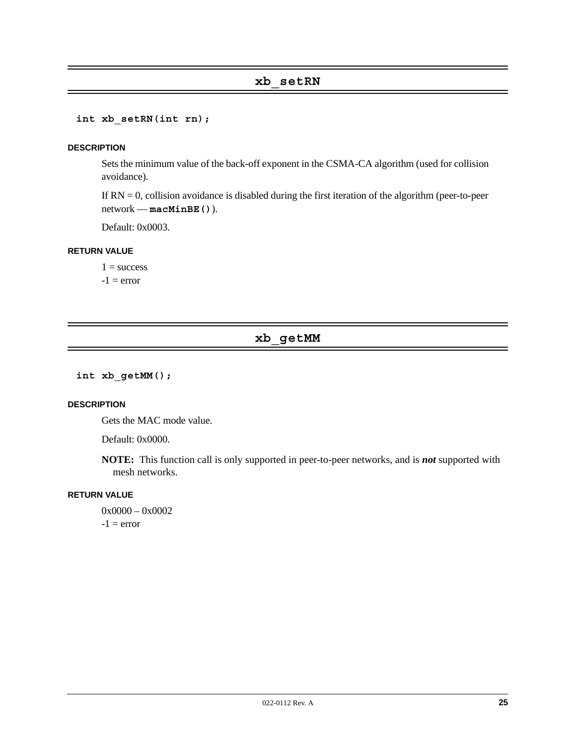# **xb\_setRN**

**int xb\_setRN(int rn);**

#### **DESCRIPTION**

Sets the minimum value of the back-off exponent in the CSMA-CA algorithm (used for collision avoidance).

If  $RN = 0$ , collision avoidance is disabled during the first iteration of the algorithm (peer-to-peer network — **macMinBE()**).

Default: 0x0003.

#### **RETURN VALUE**

 $1 =$  success  $-1$  = error

# **xb\_getMM**

**int xb\_getMM();**

#### **DESCRIPTION**

Gets the MAC mode value.

Default: 0x0000.

**NOTE:** This function call is only supported in peer-to-peer networks, and is *not* supported with mesh networks.

#### **RETURN VALUE**

0x0000 - 0x0002  $-1$  = error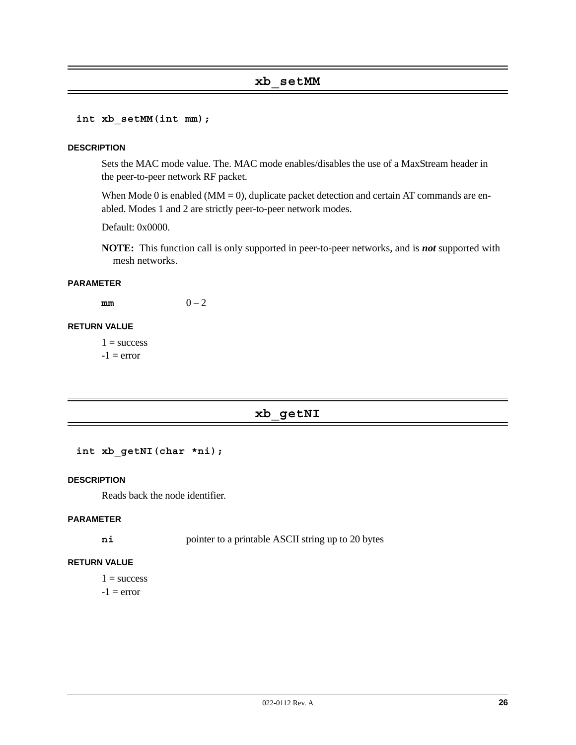### **xb\_setMM**

**int xb\_setMM(int mm);**

#### **DESCRIPTION**

Sets the MAC mode value. The. MAC mode enables/disables the use of a MaxStream header in the peer-to-peer network RF packet.

When Mode 0 is enabled ( $MM = 0$ ), duplicate packet detection and certain AT commands are enabled. Modes 1 and 2 are strictly peer-to-peer network modes.

Default: 0x0000.

**NOTE:** This function call is only supported in peer-to-peer networks, and is *not* supported with mesh networks.

#### **PARAMETER**

 $m m$  0 – 2

#### **RETURN VALUE**

 $1 = success$  $-1$  = error

# **xb\_getNI**

```
int xb_getNI(char *ni);
```
#### **DESCRIPTION**

Reads back the node identifier.

#### **PARAMETER**

**ni** pointer to a printable ASCII string up to 20 bytes

#### **RETURN VALUE**

 $1 =$  success

 $-1$  = error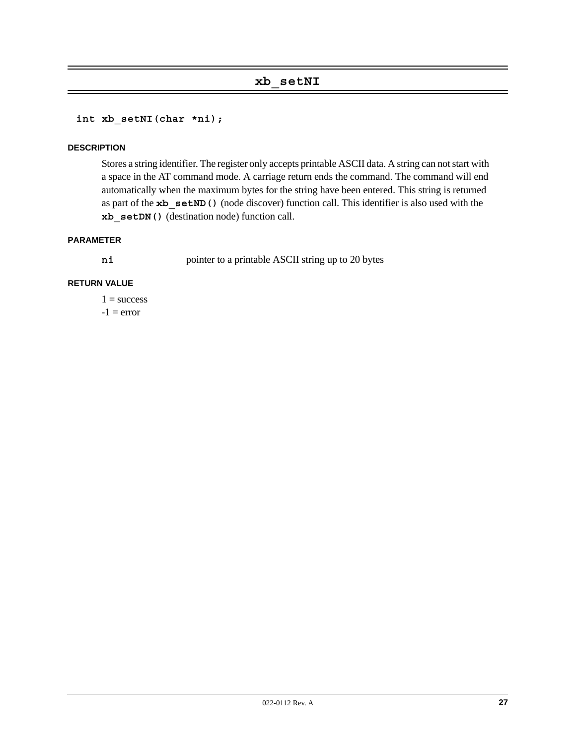# **xb\_setNI**

**int xb\_setNI(char \*ni);**

#### **DESCRIPTION**

Stores a string identifier. The register only accepts printable ASCII data. A string can not start with a space in the AT command mode. A carriage return ends the command. The command will end automatically when the maximum bytes for the string have been entered. This string is returned as part of the **xb\_setND()** (node discover) function call. This identifier is also used with the **xb\_setDN()** (destination node) function call.

#### **PARAMETER**

**ni** pointer to a printable ASCII string up to 20 bytes

#### **RETURN VALUE**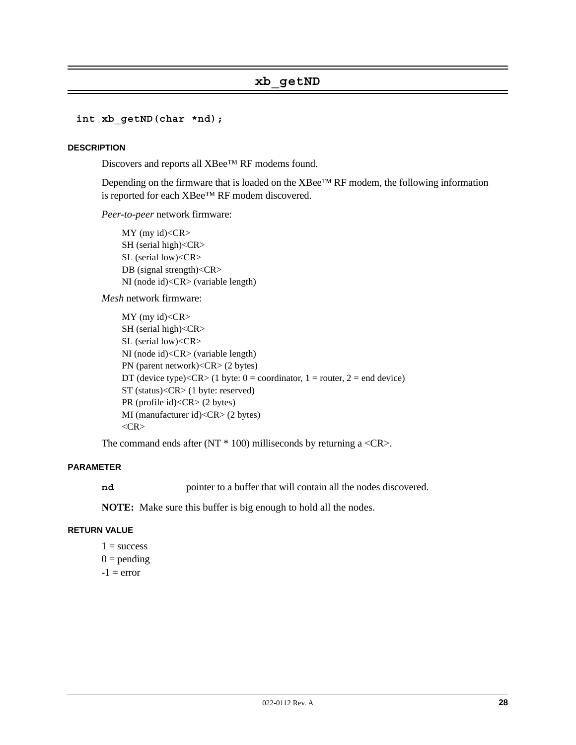# **xb\_getND**

#### **int xb\_getND(char \*nd);**

#### **DESCRIPTION**

Discovers and reports all XBee™ RF modems found.

Depending on the firmware that is loaded on the XBee™ RF modem, the following information is reported for each XBee™ RF modem discovered.

*Peer-to-peer* network firmware:

MY (my id)<CR> SH (serial high)<CR> SL (serial low)<CR> DB (signal strength)<CR> NI (node id)<CR> (variable length)

*Mesh* network firmware:

MY (my id)<CR> SH (serial high)<CR> SL (serial low)<CR> NI (node id)<CR> (variable length) PN (parent network)<CR> (2 bytes) DT (device type)< $CR$  > (1 byte: 0 = coordinator, 1 = router, 2 = end device) ST (status)<CR> (1 byte: reserved) PR (profile id)<CR> (2 bytes) MI (manufacturer id)<CR> (2 bytes) <CR>

The command ends after  $(NT * 100)$  milliseconds by returning a  $\langle CR \rangle$ .

#### **PARAMETER**

**nd** pointer to a buffer that will contain all the nodes discovered.

**NOTE:** Make sure this buffer is big enough to hold all the nodes.

#### **RETURN VALUE**

 $1 =$  success  $0 =$  pending  $-1$  = error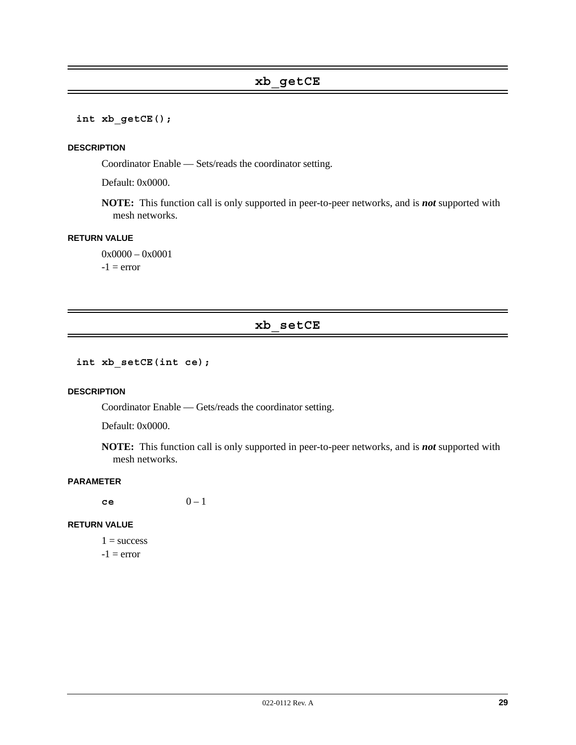**int xb\_getCE();**

#### **DESCRIPTION**

Coordinator Enable — Sets/reads the coordinator setting.

Default: 0x0000.

**NOTE:** This function call is only supported in peer-to-peer networks, and is *not* supported with mesh networks.

#### **RETURN VALUE**

0x0000 - 0x0001  $-1$  = error

# **xb\_setCE**

**int xb\_setCE(int ce);**

#### **DESCRIPTION**

Coordinator Enable — Gets/reads the coordinator setting.

Default: 0x0000.

**NOTE:** This function call is only supported in peer-to-peer networks, and is *not* supported with mesh networks.

# **PARAMETER**

**ce** 0 – 1

#### **RETURN VALUE**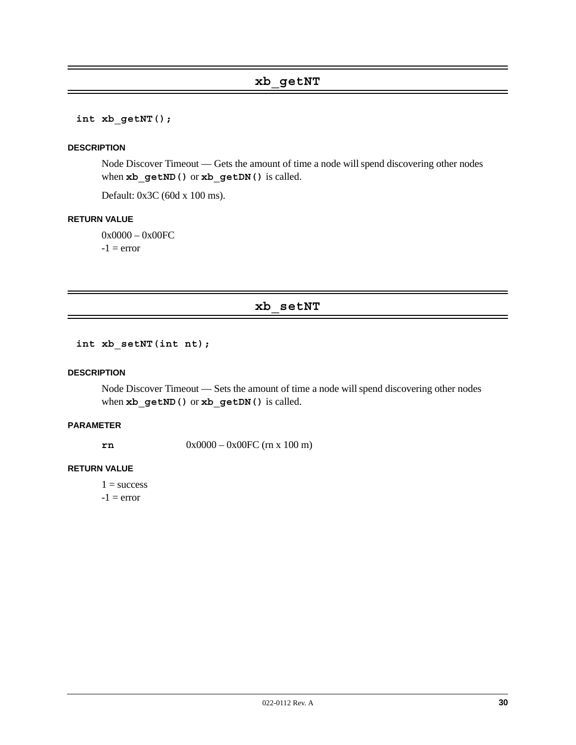**int xb\_getNT();**

#### **DESCRIPTION**

Node Discover Timeout — Gets the amount of time a node will spend discovering other nodes when  $xb$  getND() or  $xb$  getDN() is called.

Default: 0x3C (60d x 100 ms).

#### **RETURN VALUE**

0x0000 – 0x00FC  $-1$  = error

# **xb\_setNT**

**int xb\_setNT(int nt);**

#### **DESCRIPTION**

Node Discover Timeout — Sets the amount of time a node will spend discovering other nodes when **xb\_getND()** or **xb\_getDN()** is called.

### **PARAMETER**

**rn** 0x0000 – 0x00FC (rn x 100 m)

#### **RETURN VALUE**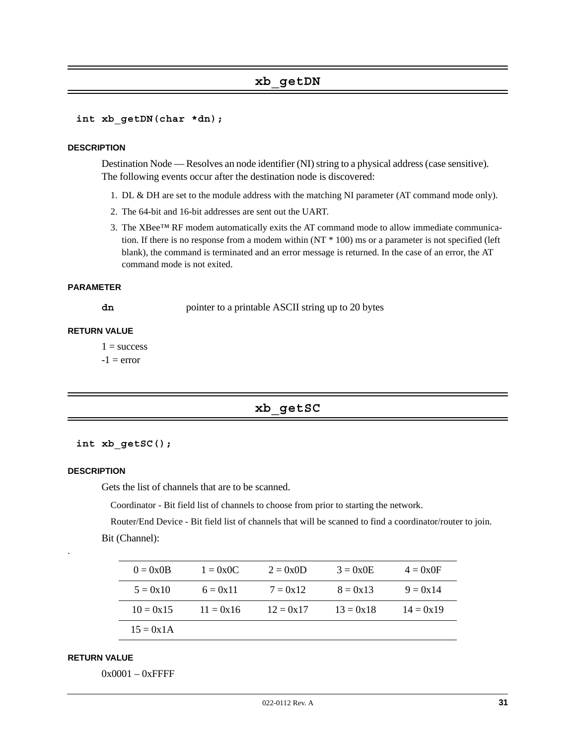### **xb\_getDN**

```
int xb_getDN(char *dn);
```
#### **DESCRIPTION**

Destination Node — Resolves an node identifier (NI) string to a physical address (case sensitive). The following events occur after the destination node is discovered:

- 1. DL & DH are set to the module address with the matching NI parameter (AT command mode only).
- 2. The 64-bit and 16-bit addresses are sent out the UART.
- 3. The XBee™ RF modem automatically exits the AT command mode to allow immediate communication. If there is no response from a modem within (NT \* 100) ms or a parameter is not specified (left blank), the command is terminated and an error message is returned. In the case of an error, the AT command mode is not exited.

#### **PARAMETER**

**dn** pointer to a printable ASCII string up to 20 bytes

#### **RETURN VALUE**

 $1 =$  success

 $-1$  = error

#### **xb\_getSC**

#### **int xb\_getSC();**

#### **DESCRIPTION**

.

Gets the list of channels that are to be scanned.

Coordinator - Bit field list of channels to choose from prior to starting the network.

Router/End Device - Bit field list of channels that will be scanned to find a coordinator/router to join.

Bit (Channel):

| $0 = 0 \times 0B$ | $1 = 0x0C$  | $2 = 0x0D$  | $3 = 0x0E$  | $4 = 0x0F$  |
|-------------------|-------------|-------------|-------------|-------------|
| $5 = 0x10$        | $6 = 0x11$  | $7 = 0x12$  | $8 = 0x13$  | $9 = 0x14$  |
| $10 = 0x15$       | $11 = 0x16$ | $12 = 0x17$ | $13 = 0x18$ | $14 = 0x19$ |
| $15 = 0x1A$       |             |             |             |             |

#### **RETURN VALUE**

0x0001 – 0xFFFF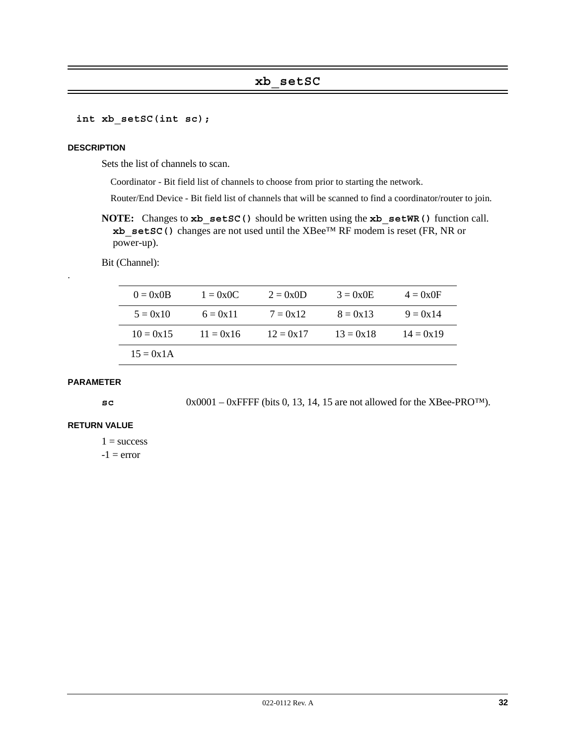# **xb\_setSC**

**int xb\_setSC(int sc);**

#### **DESCRIPTION**

Sets the list of channels to scan.

Coordinator - Bit field list of channels to choose from prior to starting the network.

Router/End Device - Bit field list of channels that will be scanned to find a coordinator/router to join.

**NOTE:** Changes to **xb\_setSC()** should be written using the **xb\_setWR()** function call. **xb\_setSC()** changes are not used until the XBee™ RF modem is reset (FR, NR or power-up).

Bit (Channel):

| $0 = 0 \times 0B$ | $1 = 0x0C$  | $2 = 0x0D$  | $3 = 0x0E$  | $4 = 0x0F$  |
|-------------------|-------------|-------------|-------------|-------------|
| $5 = 0x10$        | $6 = 0x11$  | $7 = 0x12$  | $8 = 0x13$  | $9 = 0x14$  |
| $10 = 0x15$       | $11 = 0x16$ | $12 = 0x17$ | $13 = 0x18$ | $14 = 0x19$ |
| $15 = 0x1A$       |             |             |             |             |

#### **PARAMETER**

.

**sc** 0x0001 – 0xFFFF (bits 0, 13, 14, 15 are not allowed for the XBee-PRO™).

#### **RETURN VALUE**

 $1 =$  success

 $-1$  = error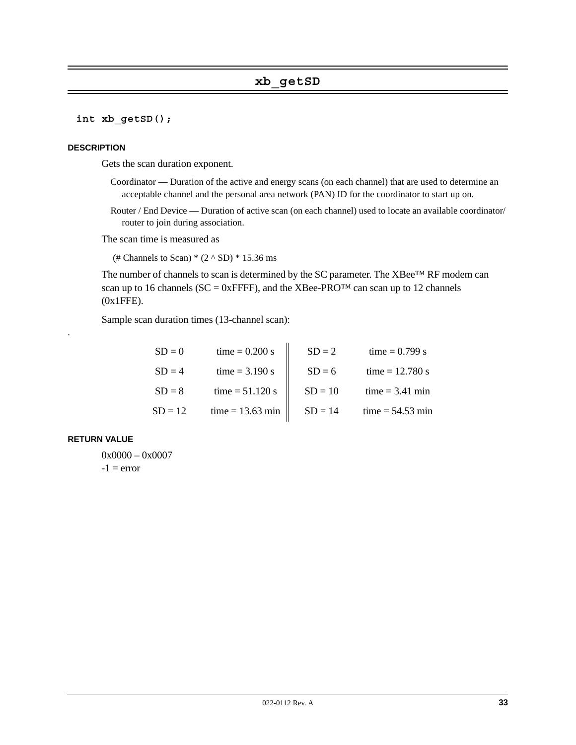# **xb\_getSD**

#### **int xb\_getSD();**

#### **DESCRIPTION**

Gets the scan duration exponent.

- Coordinator Duration of the active and energy scans (on each channel) that are used to determine an acceptable channel and the personal area network (PAN) ID for the coordinator to start up on.
- Router / End Device Duration of active scan (on each channel) used to locate an available coordinator/ router to join during association.

The scan time is measured as

(# Channels to Scan)  $*(2 \wedge SD) * 15.36$  ms

The number of channels to scan is determined by the SC parameter. The XBee™ RF modem can scan up to 16 channels ( $SC = 0x$ FFFF), and the XBee-PRO<sup>TM</sup> can scan up to 12 channels (0x1FFE).

Sample scan duration times (13-channel scan):

| $SD = 0$  | time = $0.200$ s   | $SD = 2$  | time = $0.799 s$   |
|-----------|--------------------|-----------|--------------------|
| $SD = 4$  | $time = 3.190 s$   | $SD = 6$  | time = $12.780 s$  |
| $SD = 8$  | time = $51.120 s$  | $SD = 10$ | $time = 3.41 min$  |
| $SD = 12$ | $time = 13.63 min$ | $SD = 14$ | $time = 54.53 min$ |

#### **RETURN VALUE**

.

0x0000 - 0x0007  $-1$  = error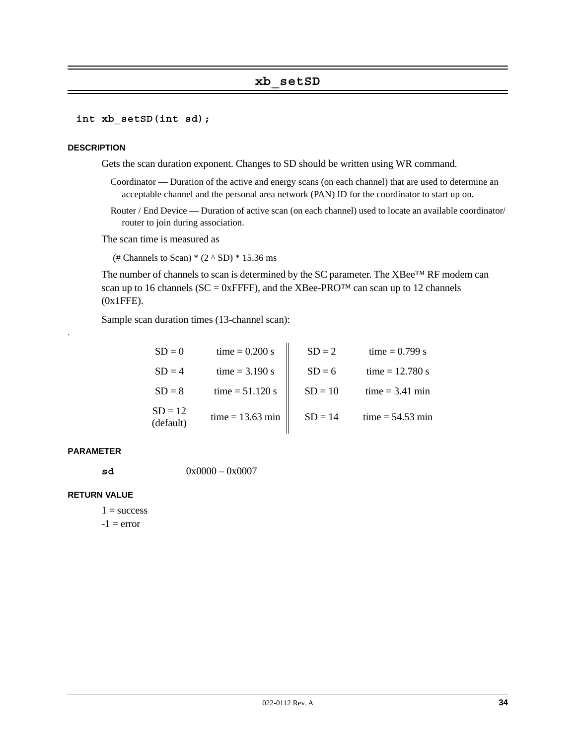### **xb\_setSD**

#### **int xb\_setSD(int sd);**

#### **DESCRIPTION**

Gets the scan duration exponent. Changes to SD should be written using WR command.

- Coordinator Duration of the active and energy scans (on each channel) that are used to determine an acceptable channel and the personal area network (PAN) ID for the coordinator to start up on.
- Router / End Device Duration of active scan (on each channel) used to locate an available coordinator/ router to join during association.

The scan time is measured as

(# Channels to Scan)  $*(2 \wedge SD) * 15.36$  ms

The number of channels to scan is determined by the SC parameter. The XBee™ RF modem can scan up to 16 channels ( $SC = 0x$ FFFF), and the XBee-PRO<sup>TM</sup> can scan up to 12 channels (0x1FFE).

Sample scan duration times (13-channel scan):

| $SD = 0$               | time = $0.200$ s   | $SD = 2$  | time = $0.799 s$   |
|------------------------|--------------------|-----------|--------------------|
| $SD = 4$               | $time = 3.190 s$   | $SD = 6$  | time = $12.780 s$  |
| $SD = 8$               | $time = 51.120 s$  | $SD = 10$ | $time = 3.41$ min  |
| $SD = 12$<br>(default) | $time = 13.63 min$ | $SD = 14$ | $time = 54.53 min$ |

#### **PARAMETER**

.

**sd** 0x0000 – 0x0007

#### **RETURN VALUE**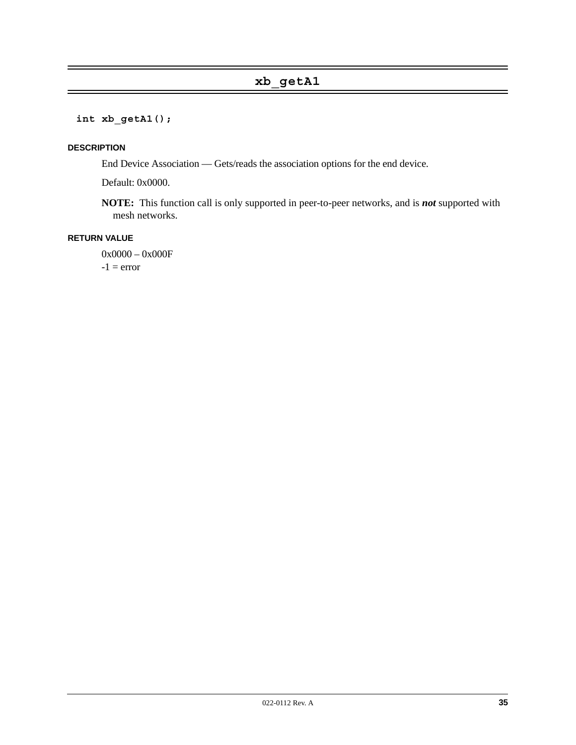# **xb\_getA1**

**int xb\_getA1();**

#### **DESCRIPTION**

End Device Association — Gets/reads the association options for the end device.

Default: 0x0000.

**NOTE:** This function call is only supported in peer-to-peer networks, and is *not* supported with mesh networks.

#### **RETURN VALUE**

0x0000 – 0x000F  $-1$  = error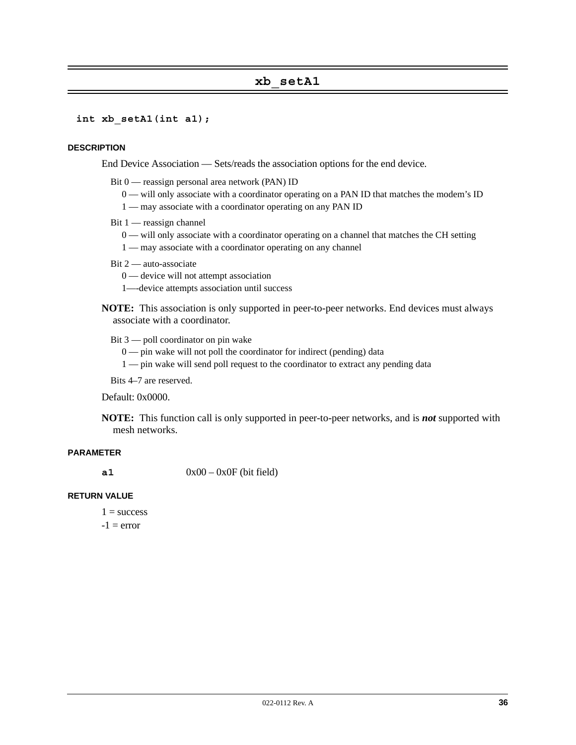# **xb\_setA1**

**int xb\_setA1(int a1);**

#### **DESCRIPTION**

End Device Association — Sets/reads the association options for the end device.

- Bit 0 reassign personal area network (PAN) ID
	- 0 will only associate with a coordinator operating on a PAN ID that matches the modem's ID
	- 1 may associate with a coordinator operating on any PAN ID
- Bit 1 reassign channel
	- 0 will only associate with a coordinator operating on a channel that matches the CH setting
	- 1 may associate with a coordinator operating on any channel
- Bit 2 auto-associate
	- 0 device will not attempt association
	- 1—-device attempts association until success
- **NOTE:** This association is only supported in peer-to-peer networks. End devices must always associate with a coordinator.
	- Bit 3 poll coordinator on pin wake
		- $0$  pin wake will not poll the coordinator for indirect (pending) data
		- 1 pin wake will send poll request to the coordinator to extract any pending data

Bits 4–7 are reserved.

#### Default: 0x0000.

**NOTE:** This function call is only supported in peer-to-peer networks, and is *not* supported with mesh networks.

#### **PARAMETER**

 $0x00 - 0x0F$  (bit field)

#### **RETURN VALUE**

- $1 =$ success
- $-1$  = error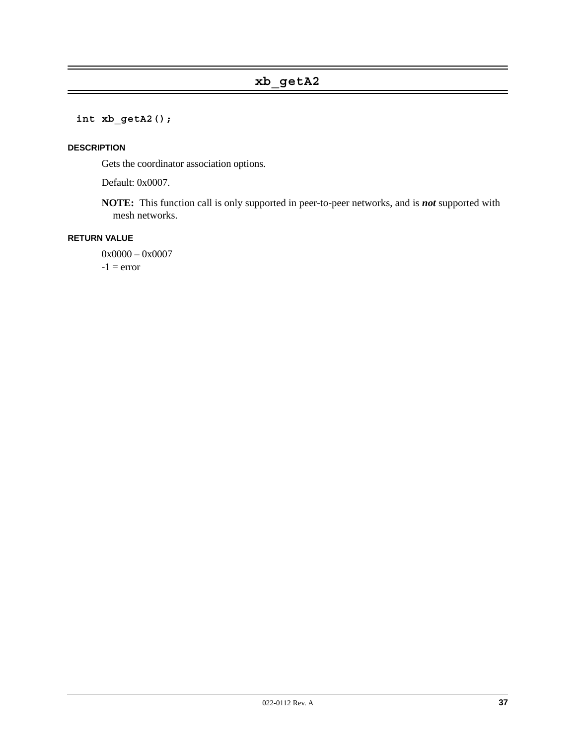# **int xb\_getA2();**

### **DESCRIPTION**

Gets the coordinator association options.

Default: 0x0007.

**NOTE:** This function call is only supported in peer-to-peer networks, and is *not* supported with mesh networks.

# **RETURN VALUE**

0x0000 - 0x0007  $-1$  = error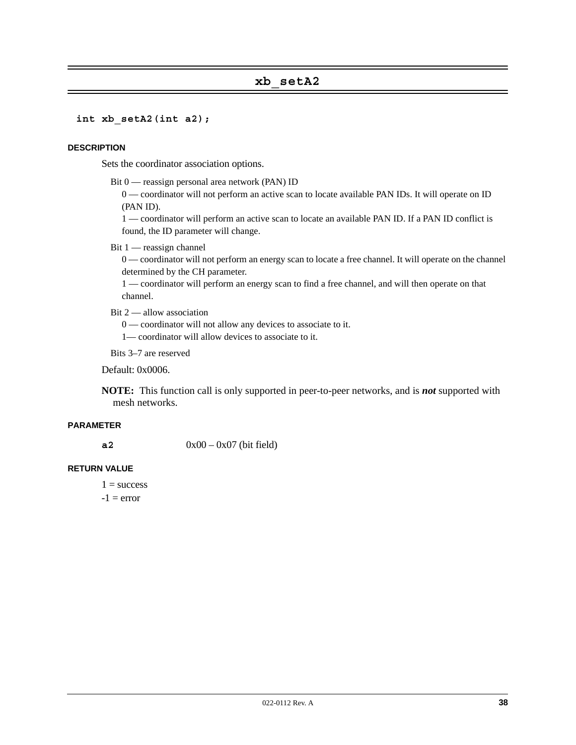# **xb\_setA2**

**int xb\_setA2(int a2);**

#### **DESCRIPTION**

Sets the coordinator association options.

Bit 0 — reassign personal area network (PAN) ID

0 — coordinator will not perform an active scan to locate available PAN IDs. It will operate on ID (PAN ID).

1 — coordinator will perform an active scan to locate an available PAN ID. If a PAN ID conflict is found, the ID parameter will change.

Bit 1 — reassign channel

0 — coordinator will not perform an energy scan to locate a free channel. It will operate on the channel determined by the CH parameter.

1 — coordinator will perform an energy scan to find a free channel, and will then operate on that channel.

Bit 2 — allow association

0 — coordinator will not allow any devices to associate to it.

1— coordinator will allow devices to associate to it.

Bits 3–7 are reserved

Default: 0x0006.

**NOTE:** This function call is only supported in peer-to-peer networks, and is *not* supported with mesh networks.

#### **PARAMETER**

**a2** 0x00 – 0x07 (bit field)

#### **RETURN VALUE**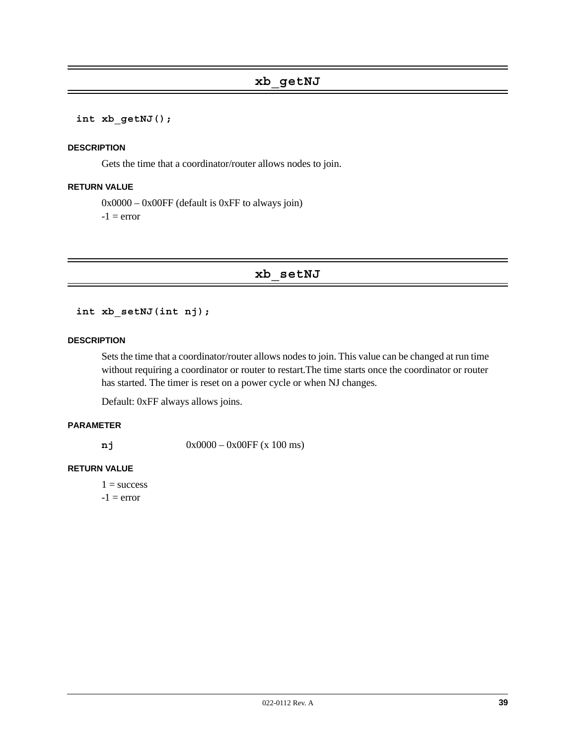#### **int xb\_getNJ();**

#### **DESCRIPTION**

Gets the time that a coordinator/router allows nodes to join.

#### **RETURN VALUE**

 $0x0000 - 0x00FF$  (default is 0xFF to always join)  $-1$  = error

**xb\_setNJ**

**int xb\_setNJ(int nj);**

#### **DESCRIPTION**

Sets the time that a coordinator/router allows nodes to join. This value can be changed at run time without requiring a coordinator or router to restart.The time starts once the coordinator or router has started. The timer is reset on a power cycle or when NJ changes.

Default: 0xFF always allows joins.

### **PARAMETER**

**nj** 0x0000 – 0x00FF (x 100 ms)

#### **RETURN VALUE**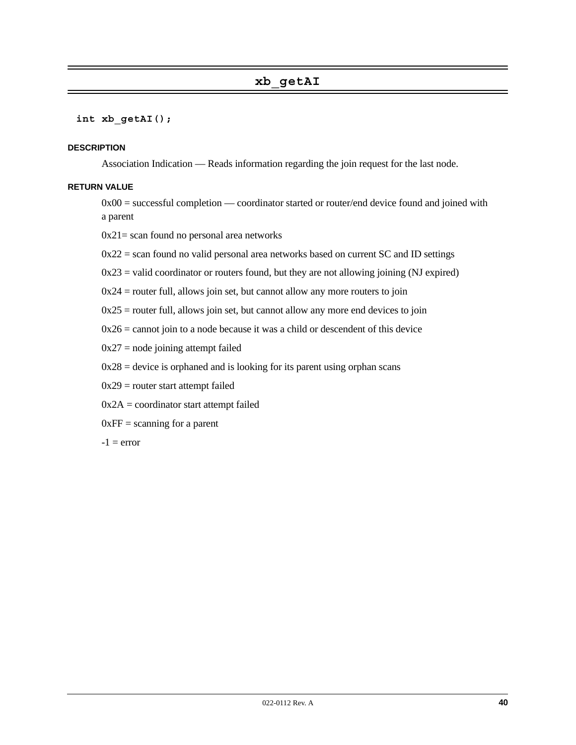#### **int xb\_getAI();**

#### **DESCRIPTION**

Association Indication — Reads information regarding the join request for the last node.

#### **RETURN VALUE**

0x00 = successful completion — coordinator started or router/end device found and joined with a parent

 $0x21$  = scan found no personal area networks

 $0x22$  = scan found no valid personal area networks based on current SC and ID settings

 $0x23$  = valid coordinator or routers found, but they are not allowing joining (NJ expired)

 $0x24$  = router full, allows join set, but cannot allow any more routers to join

 $0x25$  = router full, allows join set, but cannot allow any more end devices to join

 $0x26$  = cannot join to a node because it was a child or descendent of this device

 $0x27$  = node joining attempt failed

 $0x28$  = device is orphaned and is looking for its parent using orphan scans

 $0x29$  = router start attempt failed

 $0x2A =$  coordinator start attempt failed

 $0xFF = scanning for a parent$ 

 $-1$  = error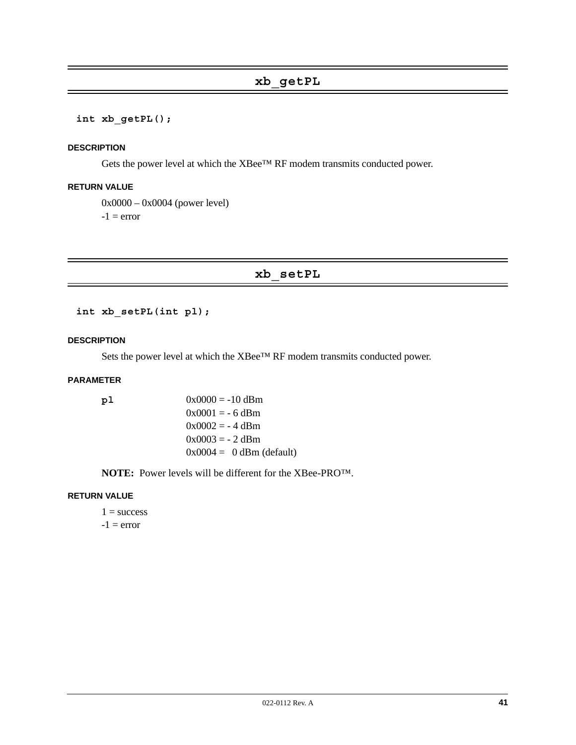# **xb\_getPL**

#### **int xb\_getPL();**

#### **DESCRIPTION**

Gets the power level at which the XBee™ RF modem transmits conducted power.

#### **RETURN VALUE**

0x0000 – 0x0004 (power level)  $-1$  = error

# **xb\_setPL**

**int xb\_setPL(int pl);**

#### **DESCRIPTION**

Sets the power level at which the XBee™ RF modem transmits conducted power.

#### **PARAMETER**

**pl** 0x0000 = -10 dBm  $0x0001 = -6$  dBm  $0x0002 = -4$  dBm  $0x0003 = -2$  dBm

**NOTE:** Power levels will be different for the XBee-PRO™.

 $0x0004 = 0$  dBm (default)

#### **RETURN VALUE**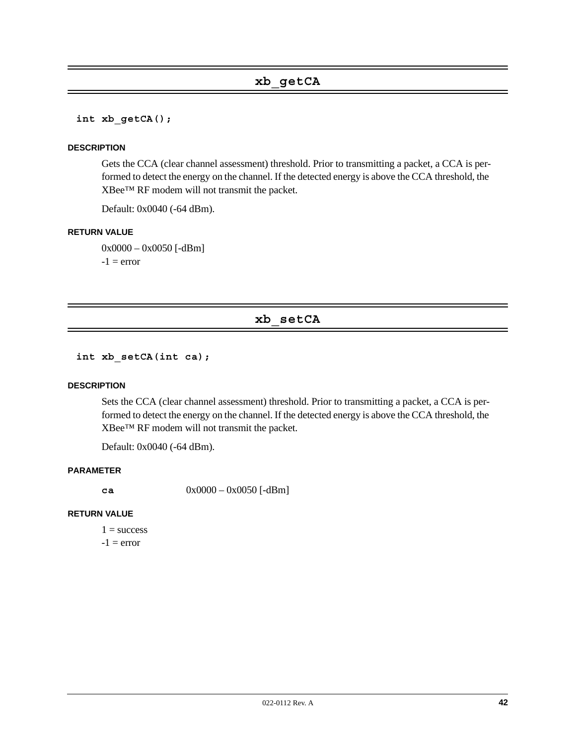**int xb\_getCA();**

#### **DESCRIPTION**

Gets the CCA (clear channel assessment) threshold. Prior to transmitting a packet, a CCA is performed to detect the energy on the channel. If the detected energy is above the CCA threshold, the XBee™ RF modem will not transmit the packet.

Default: 0x0040 (-64 dBm).

#### **RETURN VALUE**

0x0000 – 0x0050 [-dBm]  $-1$  = error

# **xb\_setCA**

**int xb\_setCA(int ca);**

#### **DESCRIPTION**

Sets the CCA (clear channel assessment) threshold. Prior to transmitting a packet, a CCA is performed to detect the energy on the channel. If the detected energy is above the CCA threshold, the XBee™ RF modem will not transmit the packet.

Default: 0x0040 (-64 dBm).

#### **PARAMETER**

**ca** 0x0000 – 0x0050 [-dBm]

#### **RETURN VALUE**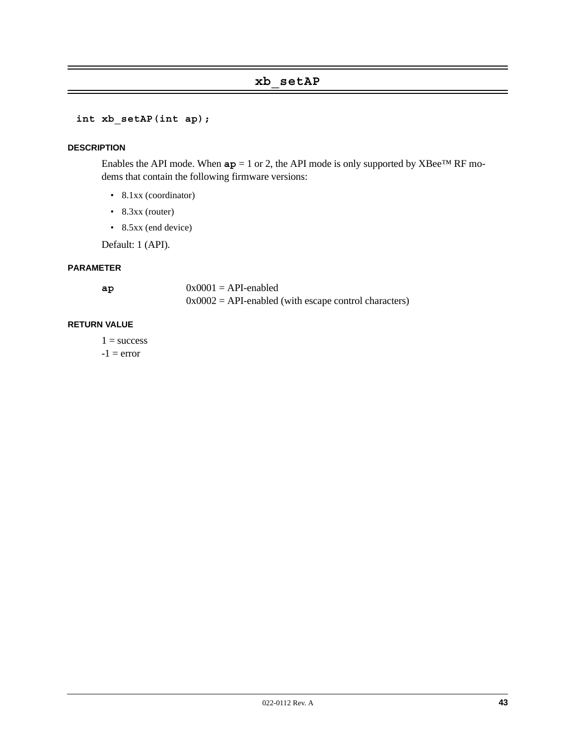# **xb\_setAP**

```
int xb_setAP(int ap);
```
#### **DESCRIPTION**

Enables the API mode. When  $ap = 1$  or 2, the API mode is only supported by XBee<sup>TM</sup> RF modems that contain the following firmware versions:

- 8.1xx (coordinator)
- 8.3xx (router)
- 8.5xx (end device)

Default: 1 (API).

#### **PARAMETER**

| ap | $0x0001 = API$ -enabled                                 |
|----|---------------------------------------------------------|
|    | $0x0002$ = API-enabled (with escape control characters) |

#### **RETURN VALUE**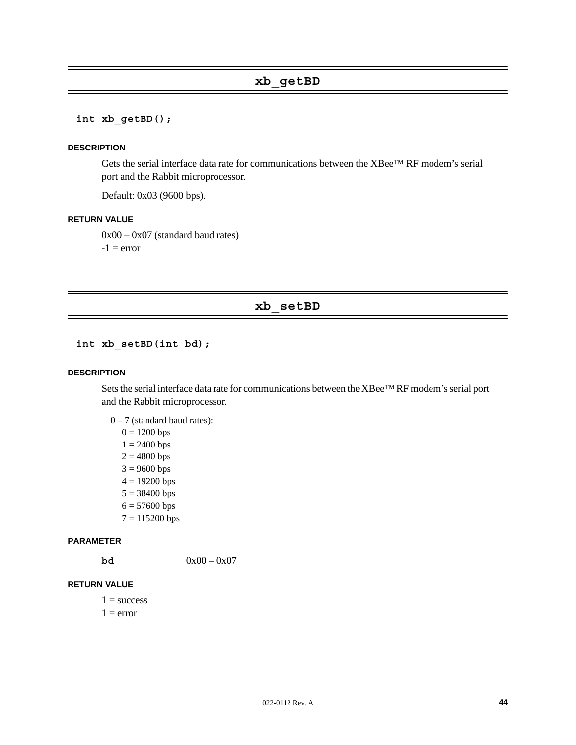# **xb\_getBD**

**int xb\_getBD();**

#### **DESCRIPTION**

Gets the serial interface data rate for communications between the XBee™ RF modem's serial port and the Rabbit microprocessor.

Default: 0x03 (9600 bps).

#### **RETURN VALUE**

0x00 – 0x07 (standard baud rates)

 $-1$  = error

# **xb\_setBD**

#### **int xb\_setBD(int bd);**

#### **DESCRIPTION**

Sets the serial interface data rate for communications between the XBee™ RF modem's serial port and the Rabbit microprocessor.

 $0 - 7$  (standard baud rates):

- $0 = 1200$  bps
- $1 = 2400$  bps
- $2 = 4800$  bps
- $3 = 9600$  bps
- $4 = 19200$  bps
- $5 = 38400$  bps
- $6 = 57600$  bps
- 7 = 115200 bps

#### **PARAMETER**

**bd**  $0x00 - 0x07$ 

#### **RETURN VALUE**

- $1 = success$
- $1 = error$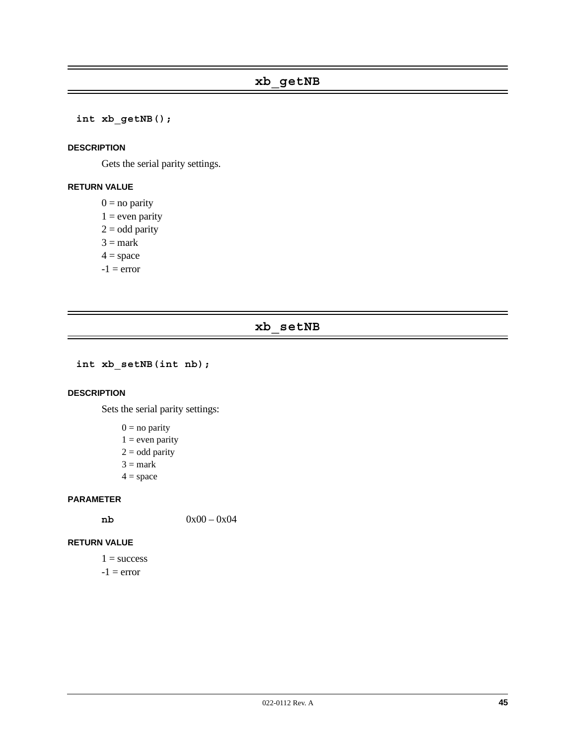**int xb\_getNB();**

#### **DESCRIPTION**

Gets the serial parity settings.

# **RETURN VALUE**

 $0 = no$  parity

- $1 =$  even parity
- $2 =$  odd parity
- $3 =$ mark

 $4 = space$ 

 $-1$  =  $error$ 

# **xb\_setNB**

```
int xb_setNB(int nb);
```
#### **DESCRIPTION**

Sets the serial parity settings:

- $0 = no$  parity
- $1 =$  even parity
- $2 =$  odd parity
- $3 =$ mark
- $4 = space$

#### **PARAMETER**

 $0x00 - 0x04$ 

#### **RETURN VALUE**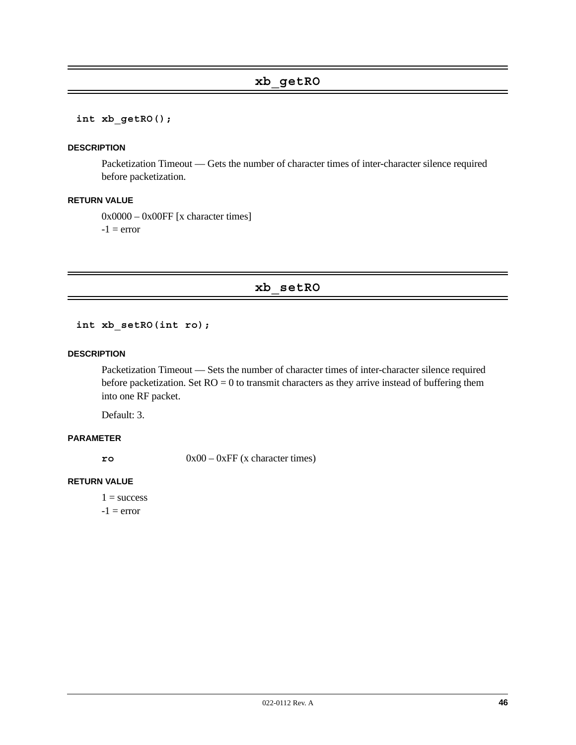**int xb\_getRO();**

#### **DESCRIPTION**

Packetization Timeout — Gets the number of character times of inter-character silence required before packetization.

#### **RETURN VALUE**

0x0000 – 0x00FF [x character times]  $-1$  = error

**xb\_setRO**

**int xb\_setRO(int ro);**

#### **DESCRIPTION**

Packetization Timeout — Sets the number of character times of inter-character silence required before packetization. Set  $RO = 0$  to transmit characters as they arrive instead of buffering them into one RF packet.

Default: 3.

#### **PARAMETER**

**ro** 0x00 – 0xFF (x character times)

### **RETURN VALUE**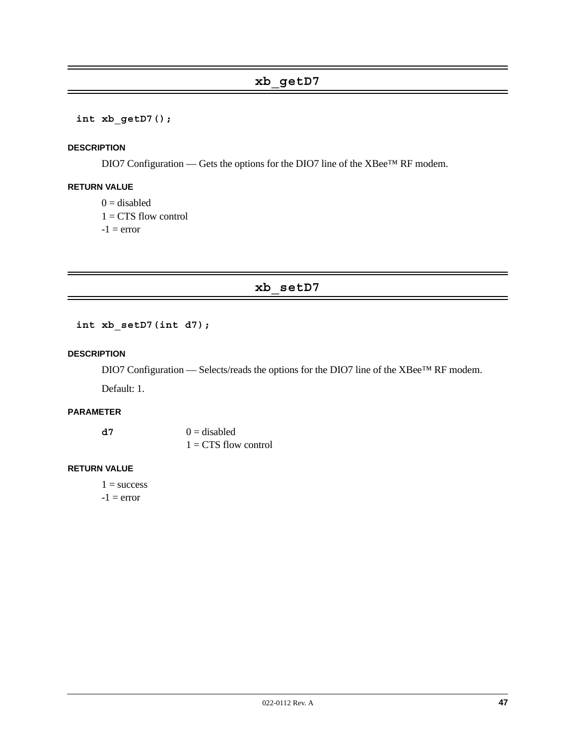# **xb\_getD7**

### **int xb\_getD7();**

#### **DESCRIPTION**

DIO7 Configuration — Gets the options for the DIO7 line of the XBee™ RF modem.

### **RETURN VALUE**

 $0 =$  disabled  $1 = CTS$  flow control  $-1$  = error

# **xb\_setD7**

**int xb\_setD7(int d7);**

#### **DESCRIPTION**

DIO7 Configuration — Selects/reads the options for the DIO7 line of the XBee™ RF modem.

Default: 1.

# **PARAMETER**

**d7**  $0 = \text{disabeled}$  $1 = CTS$  flow control

#### **RETURN VALUE**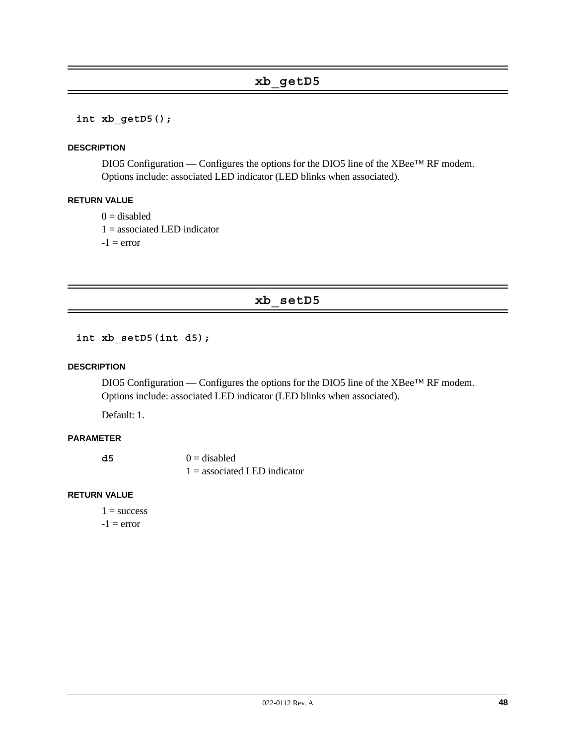# **xb\_getD5**

#### **int xb\_getD5();**

#### **DESCRIPTION**

DIO5 Configuration — Configures the options for the DIO5 line of the XBee™ RF modem. Options include: associated LED indicator (LED blinks when associated).

#### **RETURN VALUE**

 $0 =$  disabled

 $1 =$  associated LED indicator

 $-1$  = error

# **xb\_setD5**

**int xb\_setD5(int d5);**

#### **DESCRIPTION**

DIO5 Configuration — Configures the options for the DIO5 line of the XBee™ RF modem. Options include: associated LED indicator (LED blinks when associated).

Default: 1.

#### **PARAMETER**

| - d 5 | $0 =$ disabled                 |
|-------|--------------------------------|
|       | $1 =$ associated LED indicator |

#### **RETURN VALUE**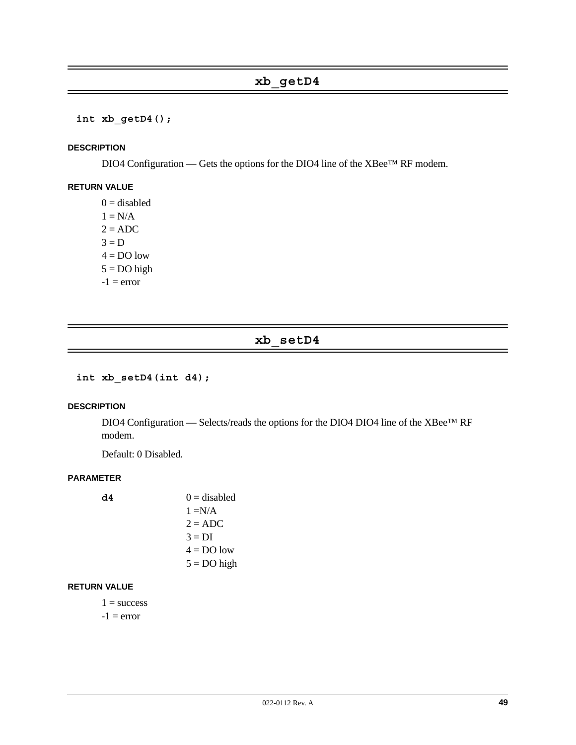#### **int xb\_getD4();**

#### **DESCRIPTION**

DIO4 Configuration — Gets the options for the DIO4 line of the XBee™ RF modem.

#### **RETURN VALUE**

 $0 =$  disabled  $1 = N/A$  $2 = ADC$  $3 = D$  $4 = DO$  low  $5 = DO$  high  $-1$  = error

# **xb\_setD4**

**int xb\_setD4(int d4);**

#### **DESCRIPTION**

DIO4 Configuration — Selects/reads the options for the DIO4 DIO4 line of the XBee™ RF modem.

Default: 0 Disabled.

#### **PARAMETER**

 $d4 = 0$  = disabled  $1 = N/A$  $2 = ADC$  $3 = DI$  $4 = DO$  low  $5 = DO$  high

#### **RETURN VALUE**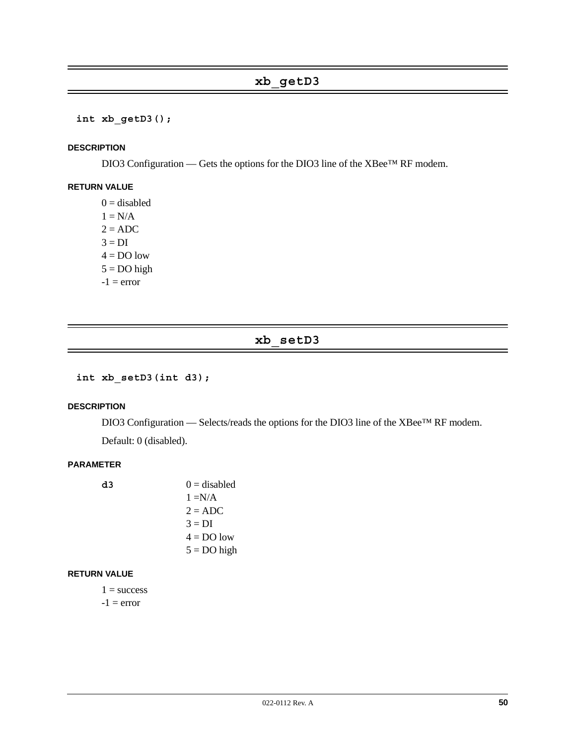**int xb\_getD3();**

#### **DESCRIPTION**

DIO3 Configuration — Gets the options for the DIO3 line of the XBee™ RF modem.

# **RETURN VALUE**

 $0 =$  disabled  $1 = N/A$  $2 = ADC$  $3 = DI$  $4 = DO$  low  $5 = DO$  high  $-1$  = error

# **xb\_setD3**

**int xb\_setD3(int d3);**

#### **DESCRIPTION**

DIO3 Configuration — Selects/reads the options for the DIO3 line of the XBee™ RF modem.

Default: 0 (disabled).

#### **PARAMETER**

| d3 | $0 =$ disabled |
|----|----------------|
|    | $1 = N/A$      |
|    | $2 = ADC$      |
|    | $3 = DI$       |
|    | $4 = DO$ low   |
|    | $5 = DO$ high  |
|    |                |

#### **RETURN VALUE**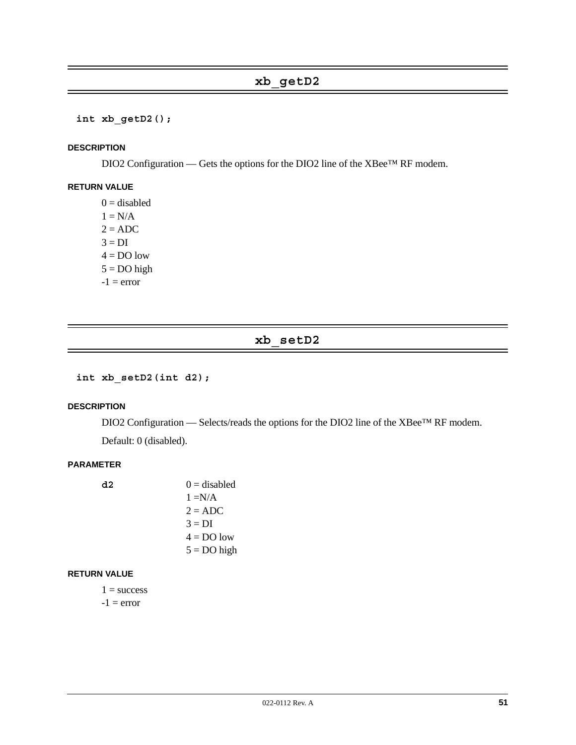**int xb\_getD2();**

#### **DESCRIPTION**

DIO2 Configuration — Gets the options for the DIO2 line of the XBee™ RF modem.

# **RETURN VALUE**

 $0 =$  disabled  $1 = N/A$  $2 = ADC$  $3 = DI$  $4 = DO$  low  $5 = DO$  high  $-1$  = error

# **xb\_setD2**

**int xb\_setD2(int d2);**

#### **DESCRIPTION**

DIO2 Configuration — Selects/reads the options for the DIO2 line of the XBee™ RF modem.

Default: 0 (disabled).

#### **PARAMETER**

| d2 | $0 =$ disabled |
|----|----------------|
|    | $1 = N/A$      |
|    | $2 = ADC$      |
|    | $3 = DI$       |
|    | $4 = DO$ low   |
|    | $5 = DO$ high  |
|    |                |

#### **RETURN VALUE**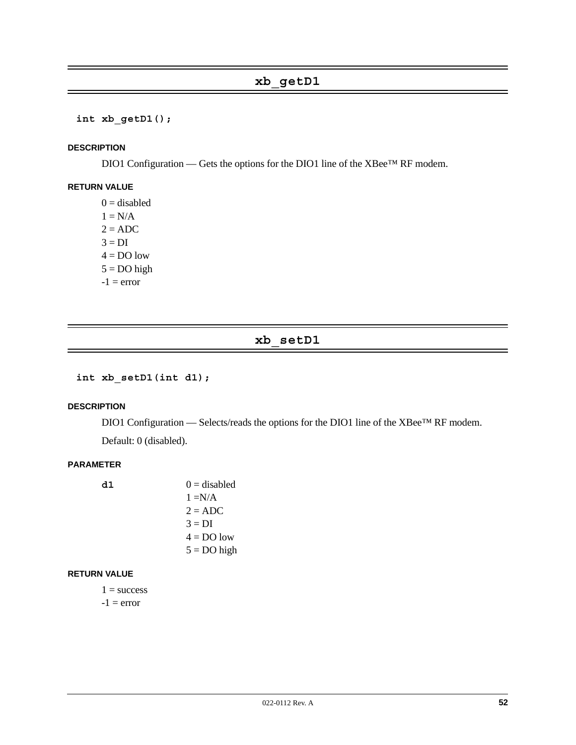**int xb\_getD1();**

#### **DESCRIPTION**

DIO1 Configuration — Gets the options for the DIO1 line of the XBee™ RF modem.

# **RETURN VALUE**

 $0 =$  disabled  $1 = N/A$  $2 = ADC$  $3 = DI$  $4 = DO$  low  $5 = DO$  high  $-1$  = error

# **xb\_setD1**

**int xb\_setD1(int d1);**

#### **DESCRIPTION**

DIO1 Configuration — Selects/reads the options for the DIO1 line of the XBee™ RF modem.

Default: 0 (disabled).

### **PARAMETER**

| d1 | $0 =$ disabled |
|----|----------------|
|    | $1 = N/A$      |
|    | $2 = ADC$      |
|    | $3 = DI$       |
|    | $4 = DO$ low   |
|    | $5 = DO$ high  |
|    |                |

#### **RETURN VALUE**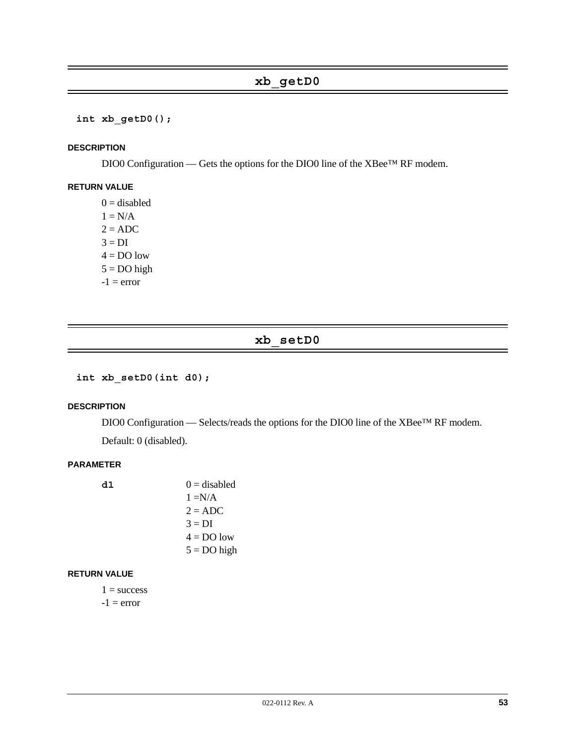**int xb\_getD0();**

#### **DESCRIPTION**

DIO0 Configuration — Gets the options for the DIO0 line of the XBee™ RF modem.

# **RETURN VALUE**

 $0 =$  disabled  $1 = N/A$  $2 = ADC$  $3 = DI$  $4 = DO$  low  $5 = DO$  high  $-1$  = error

# **xb\_setD0**

**int xb\_setD0(int d0);**

#### **DESCRIPTION**

DIO0 Configuration — Selects/reads the options for the DIO0 line of the XBee™ RF modem.

Default: 0 (disabled).

#### **PARAMETER**

| d1 | $0 =$ disabled |
|----|----------------|
|    | $1 = N/A$      |
|    | $2 = ADC$      |
|    | $3 = DI$       |
|    | $4 = DO$ low   |
|    | $5 = DO$ high  |
|    |                |

#### **RETURN VALUE**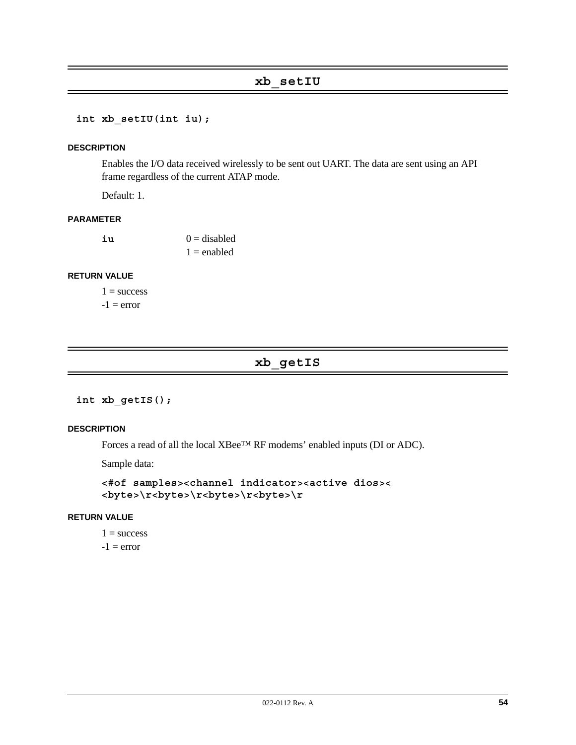# **xb\_setIU**

```
int xb_setIU(int iu);
```
#### **DESCRIPTION**

Enables the I/O data received wirelessly to be sent out UART. The data are sent using an API frame regardless of the current ATAP mode.

Default: 1.

#### **PARAMETER**

| iu | $0 =$ disabled |
|----|----------------|
|    | $1 =$ enabled  |

#### **RETURN VALUE**

 $1 =$  success  $-1$  = error

# **xb\_getIS**

**int xb\_getIS();**

#### **DESCRIPTION**

Forces a read of all the local XBee™ RF modems' enabled inputs (DI or ADC).

Sample data:

```
<#of samples><channel indicator><active dios><
<byte>\r<byte>\r<byte>\r<byte>\r
```
### **RETURN VALUE**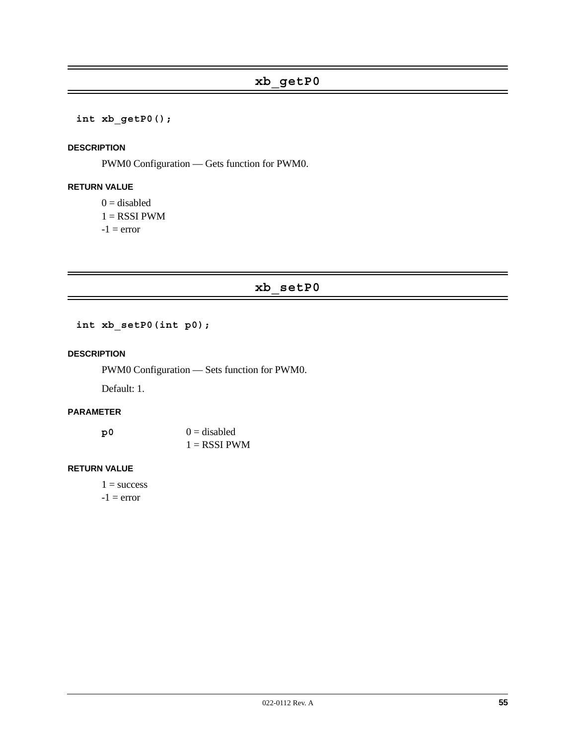**int xb\_getP0();**

#### **DESCRIPTION**

PWM0 Configuration — Gets function for PWM0.

### **RETURN VALUE**

 $0 =$  disabled  $1 =$ RSSI PWM  $-1$  = error

**xb\_setP0**

**int xb\_setP0(int p0);**

### **DESCRIPTION**

PWM0 Configuration — Sets function for PWM0.

Default: 1.

# **PARAMETER**

| p0 | $0 =$ disabled |
|----|----------------|
|    | $1 =$ RSSI PWM |

#### **RETURN VALUE**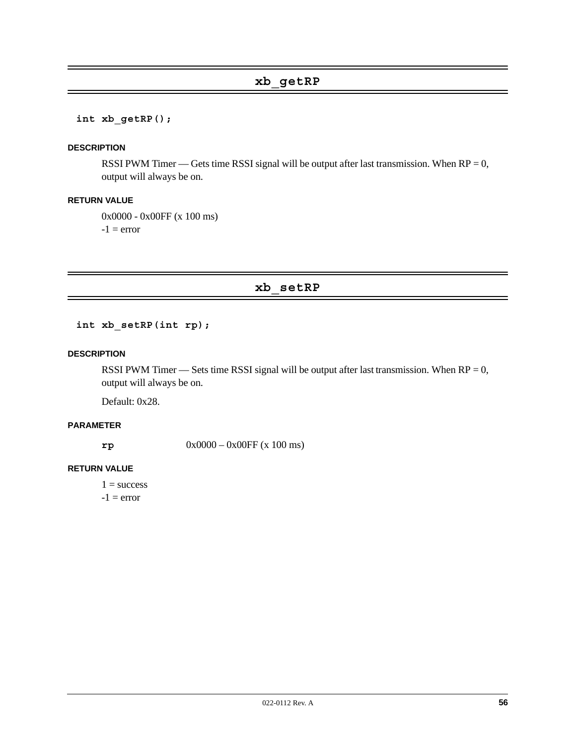# **xb\_getRP**

#### **int xb\_getRP();**

#### **DESCRIPTION**

RSSI PWM Timer — Gets time RSSI signal will be output after last transmission. When  $RP = 0$ , output will always be on.

#### **RETURN VALUE**

0x0000 - 0x00FF (x 100 ms)

 $-1$  = error

### **xb\_setRP**

**int xb\_setRP(int rp);**

#### **DESCRIPTION**

RSSI PWM Timer — Sets time RSSI signal will be output after last transmission. When  $RP = 0$ , output will always be on.

Default: 0x28.

# **PARAMETER**

**rp** 0x0000 – 0x00FF (x 100 ms)

#### **RETURN VALUE**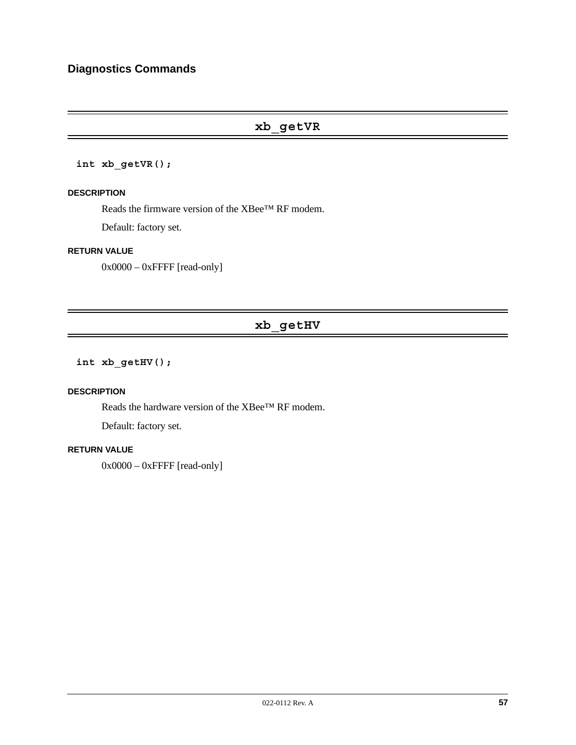# **xb\_getVR**

#### **int xb\_getVR();**

#### **DESCRIPTION**

Reads the firmware version of the XBee™ RF modem.

Default: factory set.

#### **RETURN VALUE**

 $0x0000 - 0x$ FFFF [read-only]

# **xb\_getHV**

**int xb\_getHV();**

#### **DESCRIPTION**

Reads the hardware version of the XBee™ RF modem.

Default: factory set.

# **RETURN VALUE**

 $0x0000 - 0x$ FFFF [read-only]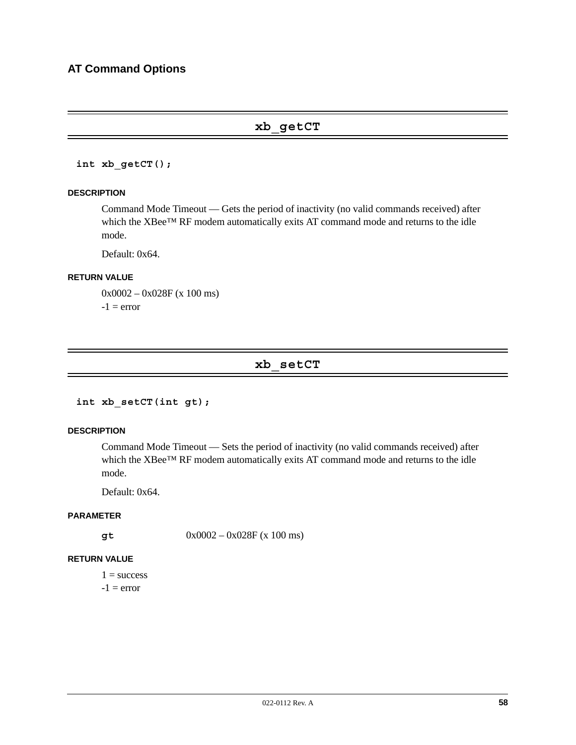# **xb\_getCT**

**int xb\_getCT();**

#### **DESCRIPTION**

Command Mode Timeout — Gets the period of inactivity (no valid commands received) after which the XBee™ RF modem automatically exits AT command mode and returns to the idle mode.

Default: 0x64.

#### **RETURN VALUE**

0x0002 – 0x028F (x 100 ms)  $-1$  = error

# **xb\_setCT**

```
int xb_setCT(int gt);
```
#### **DESCRIPTION**

Command Mode Timeout — Sets the period of inactivity (no valid commands received) after which the XBee™ RF modem automatically exits AT command mode and returns to the idle mode.

Default: 0x64.

### **PARAMETER**

**gt** 0x0002 – 0x028F (x 100 ms)

### **RETURN VALUE**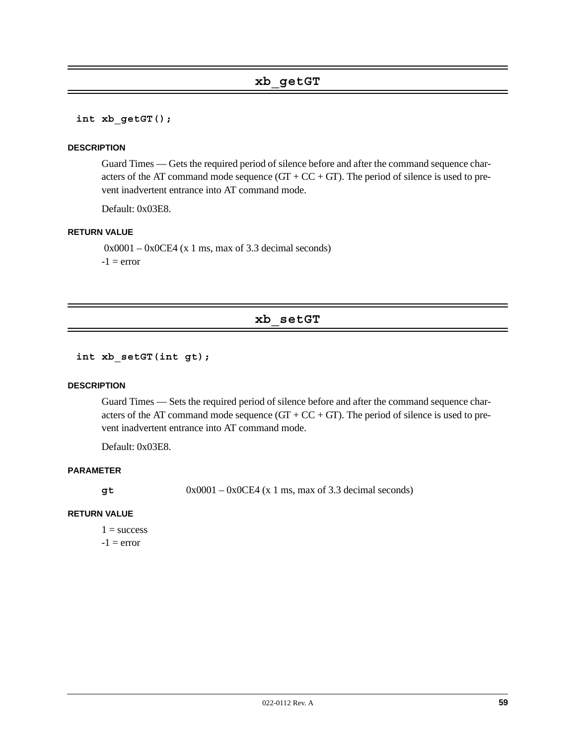**int xb\_getGT();**

#### **DESCRIPTION**

Guard Times — Gets the required period of silence before and after the command sequence characters of the AT command mode sequence  $(GT + CC + GT)$ . The period of silence is used to prevent inadvertent entrance into AT command mode.

Default: 0x03E8.

#### **RETURN VALUE**

 $0x0001 - 0x0CE4$  (x 1 ms, max of 3.3 decimal seconds)  $-1$  = error

# **xb\_setGT**

**int xb\_setGT(int gt);**

#### **DESCRIPTION**

Guard Times — Sets the required period of silence before and after the command sequence characters of the AT command mode sequence  $(GT + CC + GT)$ . The period of silence is used to prevent inadvertent entrance into AT command mode.

Default: 0x03E8.

#### **PARAMETER**

 $gt$  0x0001 – 0x0CE4 (x 1 ms, max of 3.3 decimal seconds)

#### **RETURN VALUE**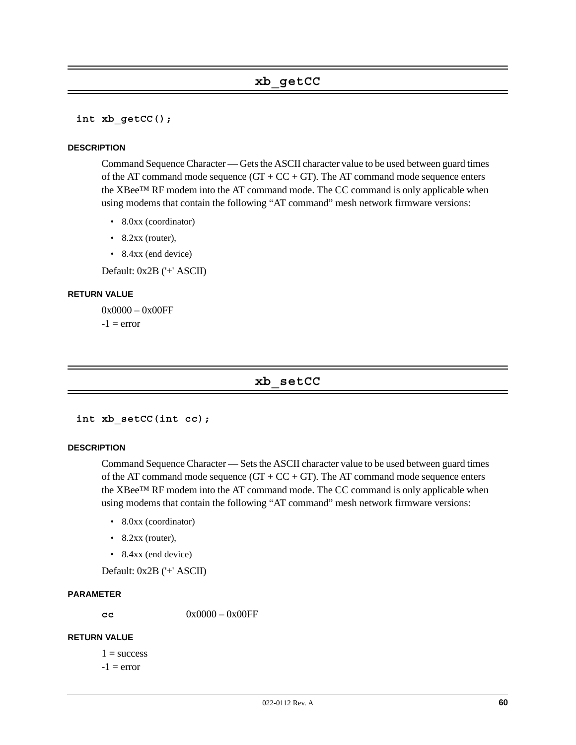**int xb\_getCC();**

#### **DESCRIPTION**

Command Sequence Character — Gets the ASCII character value to be used between guard times of the AT command mode sequence  $(GT + CC + GT)$ . The AT command mode sequence enters the XBee™ RF modem into the AT command mode. The CC command is only applicable when using modems that contain the following "AT command" mesh network firmware versions:

- 8.0xx (coordinator)
- 8.2xx (router),
- 8.4xx (end device)

Default: 0x2B ('+' ASCII)

#### **RETURN VALUE**

0x0000 – 0x00FF  $-1$  = error

#### **xb\_setCC**

```
int xb_setCC(int cc);
```
#### **DESCRIPTION**

Command Sequence Character — Sets the ASCII character value to be used between guard times of the AT command mode sequence  $(GT + CC + GT)$ . The AT command mode sequence enters the XBee™ RF modem into the AT command mode. The CC command is only applicable when using modems that contain the following "AT command" mesh network firmware versions:

- 8.0xx (coordinator)
- $\bullet$  8.2xx (router),
- 8.4xx (end device)

Default: 0x2B ('+' ASCII)

#### **PARAMETER**

**cc** 0x0000 – 0x00FF

#### **RETURN VALUE**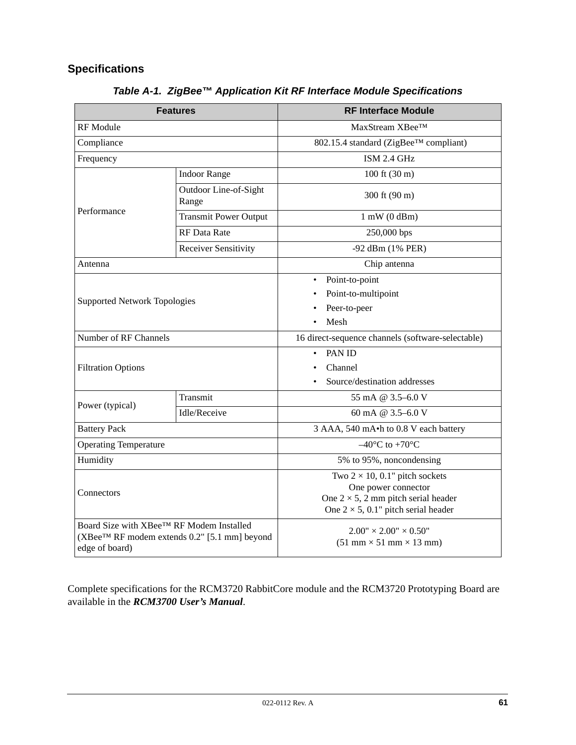# **Specifications**

| <b>Features</b>                                                                                                        |                                | <b>RF Interface Module</b>                                                                                                                                  |
|------------------------------------------------------------------------------------------------------------------------|--------------------------------|-------------------------------------------------------------------------------------------------------------------------------------------------------------|
| RF Module                                                                                                              |                                | MaxStream XBee <sup>TM</sup>                                                                                                                                |
| Compliance                                                                                                             |                                | 802.15.4 standard (ZigBee™ compliant)                                                                                                                       |
| Frequency                                                                                                              |                                | ISM 2.4 GHz                                                                                                                                                 |
|                                                                                                                        | <b>Indoor Range</b>            | $100 \text{ ft} (30 \text{ m})$                                                                                                                             |
|                                                                                                                        | Outdoor Line-of-Sight<br>Range | 300 ft (90 m)                                                                                                                                               |
| Performance                                                                                                            | <b>Transmit Power Output</b>   | $1$ mW $(0$ dBm $)$                                                                                                                                         |
|                                                                                                                        | <b>RF</b> Data Rate            | 250,000 bps                                                                                                                                                 |
|                                                                                                                        | <b>Receiver Sensitivity</b>    | -92 dBm (1% PER)                                                                                                                                            |
| Antenna                                                                                                                |                                | Chip antenna                                                                                                                                                |
|                                                                                                                        |                                | Point-to-point<br>$\bullet$                                                                                                                                 |
| <b>Supported Network Topologies</b>                                                                                    |                                | Point-to-multipoint                                                                                                                                         |
|                                                                                                                        |                                | Peer-to-peer                                                                                                                                                |
|                                                                                                                        |                                | Mesh                                                                                                                                                        |
| Number of RF Channels                                                                                                  |                                | 16 direct-sequence channels (software-selectable)                                                                                                           |
|                                                                                                                        |                                | PAN ID<br>٠                                                                                                                                                 |
| <b>Filtration Options</b>                                                                                              |                                | Channel                                                                                                                                                     |
|                                                                                                                        |                                | Source/destination addresses                                                                                                                                |
| Power (typical)                                                                                                        | Transmit                       | 55 mA @ $3.5-6.0$ V                                                                                                                                         |
|                                                                                                                        | Idle/Receive                   | 60 mA @ 3.5-6.0 V                                                                                                                                           |
| <b>Battery Pack</b>                                                                                                    |                                | 3 AAA, 540 mA•h to 0.8 V each battery                                                                                                                       |
| <b>Operating Temperature</b>                                                                                           |                                | $-40^{\circ}$ C to +70 $^{\circ}$ C                                                                                                                         |
| Humidity                                                                                                               |                                | 5% to 95%, noncondensing                                                                                                                                    |
| Connectors                                                                                                             |                                | Two $2 \times 10$ , 0.1" pitch sockets<br>One power connector<br>One $2 \times 5$ , 2 mm pitch serial header<br>One $2 \times 5$ , 0.1" pitch serial header |
| Board Size with XBee™ RF Modem Installed<br>(XBee <sup>™</sup> RF modem extends 0.2" [5.1 mm] beyond<br>edge of board) |                                | $2.00'' \times 2.00'' \times 0.50''$<br>$(51 \text{ mm} \times 51 \text{ mm} \times 13 \text{ mm})$                                                         |

*Table A-1. ZigBee™ Application Kit RF Interface Module Specifications*

Complete specifications for the RCM3720 RabbitCore module and the RCM3720 Prototyping Board are available in the *RCM3700 User's Manual*.